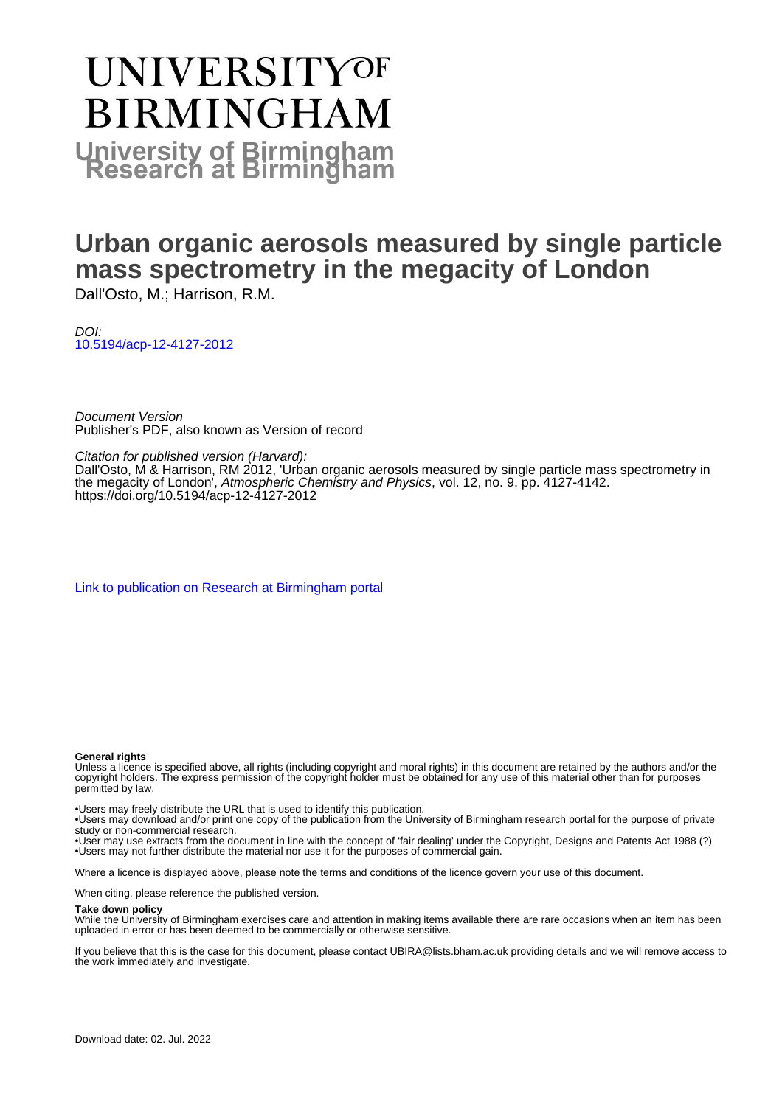# **UNIVERSITYOF BIRMINGHAM University of Birmingham**

# **Urban organic aerosols measured by single particle mass spectrometry in the megacity of London**

Dall'Osto, M.; Harrison, R.M.

DOI: [10.5194/acp-12-4127-2012](https://doi.org/10.5194/acp-12-4127-2012)

Document Version Publisher's PDF, also known as Version of record

Citation for published version (Harvard):

Dall'Osto, M & Harrison, RM 2012, 'Urban organic aerosols measured by single particle mass spectrometry in the megacity of London', Atmospheric Chemistry and Physics, vol. 12, no. 9, pp. 4127-4142. <https://doi.org/10.5194/acp-12-4127-2012>

[Link to publication on Research at Birmingham portal](https://birmingham.elsevierpure.com/en/publications/e7a52298-8847-4a76-bc48-7657509309b1)

#### **General rights**

Unless a licence is specified above, all rights (including copyright and moral rights) in this document are retained by the authors and/or the copyright holders. The express permission of the copyright holder must be obtained for any use of this material other than for purposes permitted by law.

• Users may freely distribute the URL that is used to identify this publication.

• Users may download and/or print one copy of the publication from the University of Birmingham research portal for the purpose of private study or non-commercial research.

• User may use extracts from the document in line with the concept of 'fair dealing' under the Copyright, Designs and Patents Act 1988 (?) • Users may not further distribute the material nor use it for the purposes of commercial gain.

Where a licence is displayed above, please note the terms and conditions of the licence govern your use of this document.

When citing, please reference the published version.

#### **Take down policy**

While the University of Birmingham exercises care and attention in making items available there are rare occasions when an item has been uploaded in error or has been deemed to be commercially or otherwise sensitive.

If you believe that this is the case for this document, please contact UBIRA@lists.bham.ac.uk providing details and we will remove access to the work immediately and investigate.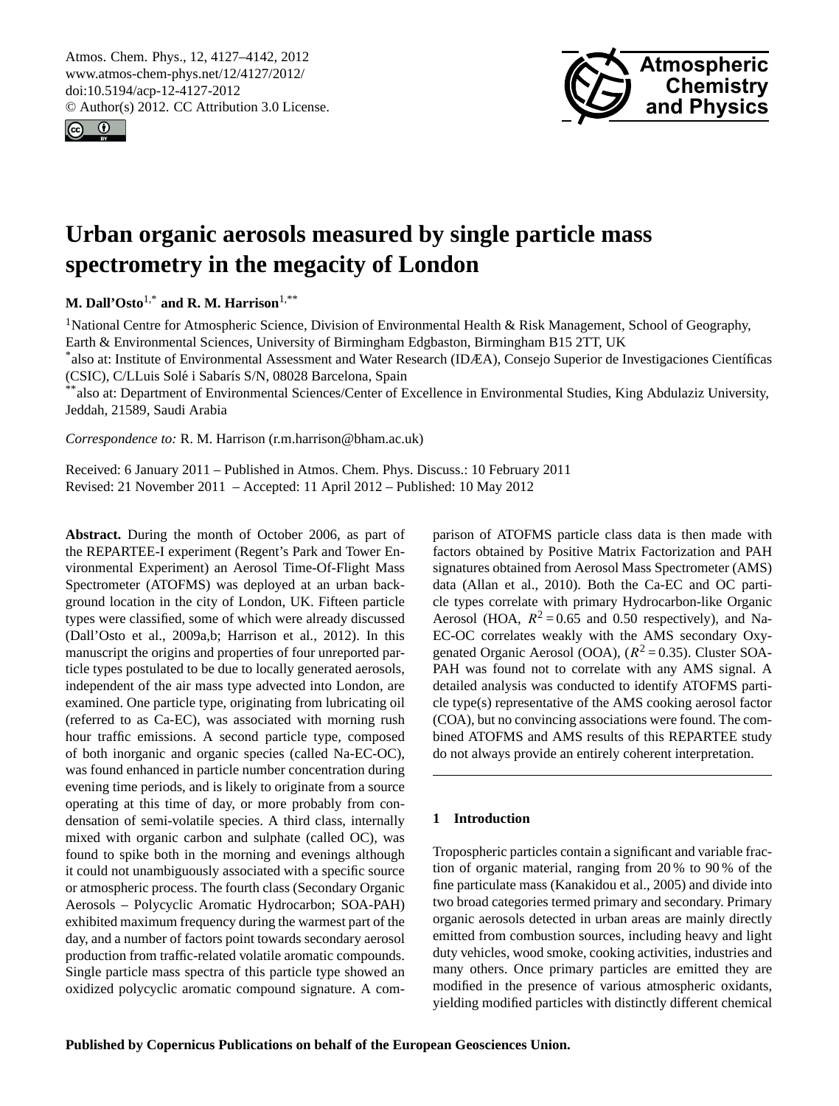<span id="page-1-0"></span>Atmos. Chem. Phys., 12, 4127–4142, 2012 www.atmos-chem-phys.net/12/4127/2012/ doi:10.5194/acp-12-4127-2012 © Author(s) 2012. CC Attribution 3.0 License.





# **Urban organic aerosols measured by single particle mass spectrometry in the megacity of London**

# **M. Dall'Osto**1,\* **and R. M. Harrison**1,\*\*

<sup>1</sup>National Centre for Atmospheric Science, Division of Environmental Health & Risk Management, School of Geography, Earth & Environmental Sciences, University of Birmingham Edgbaston, Birmingham B15 2TT, UK

\*also at: Institute of Environmental Assessment and Water Research (IDÆA), Consejo Superior de Investigaciones Científicas (CSIC), C/LLuis Solé i Sabarís S/N, 08028 Barcelona, Spain

\*also at: Department of Environmental Sciences/Center of Excellence in Environmental Studies, King Abdulaziz University, Jeddah, 21589, Saudi Arabia

*Correspondence to:* R. M. Harrison (r.m.harrison@bham.ac.uk)

Received: 6 January 2011 – Published in Atmos. Chem. Phys. Discuss.: 10 February 2011 Revised: 21 November 2011 – Accepted: 11 April 2012 – Published: 10 May 2012

**Abstract.** During the month of October 2006, as part of the REPARTEE-I experiment (Regent's Park and Tower Environmental Experiment) an Aerosol Time-Of-Flight Mass Spectrometer (ATOFMS) was deployed at an urban background location in the city of London, UK. Fifteen particle types were classified, some of which were already discussed (Dall'Osto et al., 2009a,b; Harrison et al., 2012). In this manuscript the origins and properties of four unreported particle types postulated to be due to locally generated aerosols, independent of the air mass type advected into London, are examined. One particle type, originating from lubricating oil (referred to as Ca-EC), was associated with morning rush hour traffic emissions. A second particle type, composed of both inorganic and organic species (called Na-EC-OC), was found enhanced in particle number concentration during evening time periods, and is likely to originate from a source operating at this time of day, or more probably from condensation of semi-volatile species. A third class, internally mixed with organic carbon and sulphate (called OC), was found to spike both in the morning and evenings although it could not unambiguously associated with a specific source or atmospheric process. The fourth class (Secondary Organic Aerosols – Polycyclic Aromatic Hydrocarbon; SOA-PAH) exhibited maximum frequency during the warmest part of the day, and a number of factors point towards secondary aerosol production from traffic-related volatile aromatic compounds. Single particle mass spectra of this particle type showed an oxidized polycyclic aromatic compound signature. A comparison of ATOFMS particle class data is then made with factors obtained by Positive Matrix Factorization and PAH signatures obtained from Aerosol Mass Spectrometer (AMS) data (Allan et al., 2010). Both the Ca-EC and OC particle types correlate with primary Hydrocarbon-like Organic Aerosol (HOA,  $R^2 = 0.65$  and 0.50 respectively), and Na-EC-OC correlates weakly with the AMS secondary Oxygenated Organic Aerosol (OOA),  $(R^2 = 0.35)$ . Cluster SOA-PAH was found not to correlate with any AMS signal. A detailed analysis was conducted to identify ATOFMS particle type(s) representative of the AMS cooking aerosol factor (COA), but no convincing associations were found. The combined ATOFMS and AMS results of this REPARTEE study do not always provide an entirely coherent interpretation.

# **1 Introduction**

Tropospheric particles contain a significant and variable fraction of organic material, ranging from 20 % to 90 % of the fine particulate mass (Kanakidou et al., 2005) and divide into two broad categories termed primary and secondary. Primary organic aerosols detected in urban areas are mainly directly emitted from combustion sources, including heavy and light duty vehicles, wood smoke, cooking activities, industries and many others. Once primary particles are emitted they are modified in the presence of various atmospheric oxidants, yielding modified particles with distinctly different chemical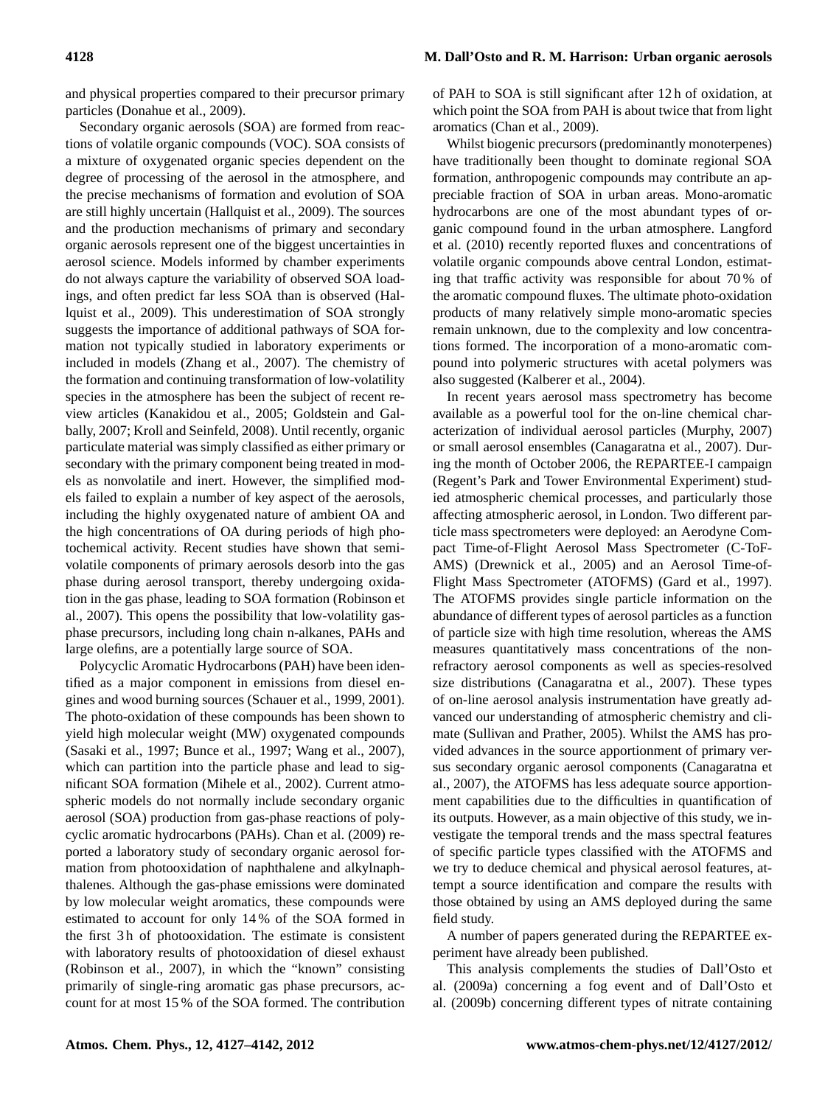and physical properties compared to their precursor primary particles (Donahue et al., 2009).

Secondary organic aerosols (SOA) are formed from reactions of volatile organic compounds (VOC). SOA consists of a mixture of oxygenated organic species dependent on the degree of processing of the aerosol in the atmosphere, and the precise mechanisms of formation and evolution of SOA are still highly uncertain (Hallquist et al., 2009). The sources and the production mechanisms of primary and secondary organic aerosols represent one of the biggest uncertainties in aerosol science. Models informed by chamber experiments do not always capture the variability of observed SOA loadings, and often predict far less SOA than is observed (Hallquist et al., 2009). This underestimation of SOA strongly suggests the importance of additional pathways of SOA formation not typically studied in laboratory experiments or included in models (Zhang et al., 2007). The chemistry of the formation and continuing transformation of low-volatility species in the atmosphere has been the subject of recent review articles (Kanakidou et al., 2005; Goldstein and Galbally, 2007; Kroll and Seinfeld, 2008). Until recently, organic particulate material was simply classified as either primary or secondary with the primary component being treated in models as nonvolatile and inert. However, the simplified models failed to explain a number of key aspect of the aerosols, including the highly oxygenated nature of ambient OA and the high concentrations of OA during periods of high photochemical activity. Recent studies have shown that semivolatile components of primary aerosols desorb into the gas phase during aerosol transport, thereby undergoing oxidation in the gas phase, leading to SOA formation (Robinson et al., 2007). This opens the possibility that low-volatility gasphase precursors, including long chain n-alkanes, PAHs and large olefins, are a potentially large source of SOA.

Polycyclic Aromatic Hydrocarbons (PAH) have been identified as a major component in emissions from diesel engines and wood burning sources (Schauer et al., 1999, 2001). The photo-oxidation of these compounds has been shown to yield high molecular weight (MW) oxygenated compounds (Sasaki et al., 1997; Bunce et al., 1997; Wang et al., 2007), which can partition into the particle phase and lead to significant SOA formation (Mihele et al., 2002). Current atmospheric models do not normally include secondary organic aerosol (SOA) production from gas-phase reactions of polycyclic aromatic hydrocarbons (PAHs). Chan et al. (2009) reported a laboratory study of secondary organic aerosol formation from photooxidation of naphthalene and alkylnaphthalenes. Although the gas-phase emissions were dominated by low molecular weight aromatics, these compounds were estimated to account for only 14 % of the SOA formed in the first 3 h of photooxidation. The estimate is consistent with laboratory results of photooxidation of diesel exhaust (Robinson et al., 2007), in which the "known" consisting primarily of single-ring aromatic gas phase precursors, account for at most 15 % of the SOA formed. The contribution of PAH to SOA is still significant after 12 h of oxidation, at which point the SOA from PAH is about twice that from light aromatics (Chan et al., 2009).

Whilst biogenic precursors (predominantly monoterpenes) have traditionally been thought to dominate regional SOA formation, anthropogenic compounds may contribute an appreciable fraction of SOA in urban areas. Mono-aromatic hydrocarbons are one of the most abundant types of organic compound found in the urban atmosphere. Langford et al. (2010) recently reported fluxes and concentrations of volatile organic compounds above central London, estimating that traffic activity was responsible for about 70 % of the aromatic compound fluxes. The ultimate photo-oxidation products of many relatively simple mono-aromatic species remain unknown, due to the complexity and low concentrations formed. The incorporation of a mono-aromatic compound into polymeric structures with acetal polymers was also suggested (Kalberer et al., 2004).

In recent years aerosol mass spectrometry has become available as a powerful tool for the on-line chemical characterization of individual aerosol particles (Murphy, 2007) or small aerosol ensembles (Canagaratna et al., 2007). During the month of October 2006, the REPARTEE-I campaign (Regent's Park and Tower Environmental Experiment) studied atmospheric chemical processes, and particularly those affecting atmospheric aerosol, in London. Two different particle mass spectrometers were deployed: an Aerodyne Compact Time-of-Flight Aerosol Mass Spectrometer (C-ToF-AMS) (Drewnick et al., 2005) and an Aerosol Time-of-Flight Mass Spectrometer (ATOFMS) (Gard et al., 1997). The ATOFMS provides single particle information on the abundance of different types of aerosol particles as a function of particle size with high time resolution, whereas the AMS measures quantitatively mass concentrations of the nonrefractory aerosol components as well as species-resolved size distributions (Canagaratna et al., 2007). These types of on-line aerosol analysis instrumentation have greatly advanced our understanding of atmospheric chemistry and climate (Sullivan and Prather, 2005). Whilst the AMS has provided advances in the source apportionment of primary versus secondary organic aerosol components (Canagaratna et al., 2007), the ATOFMS has less adequate source apportionment capabilities due to the difficulties in quantification of its outputs. However, as a main objective of this study, we investigate the temporal trends and the mass spectral features of specific particle types classified with the ATOFMS and we try to deduce chemical and physical aerosol features, attempt a source identification and compare the results with those obtained by using an AMS deployed during the same field study.

A number of papers generated during the REPARTEE experiment have already been published.

This analysis complements the studies of Dall'Osto et al. (2009a) concerning a fog event and of Dall'Osto et al. (2009b) concerning different types of nitrate containing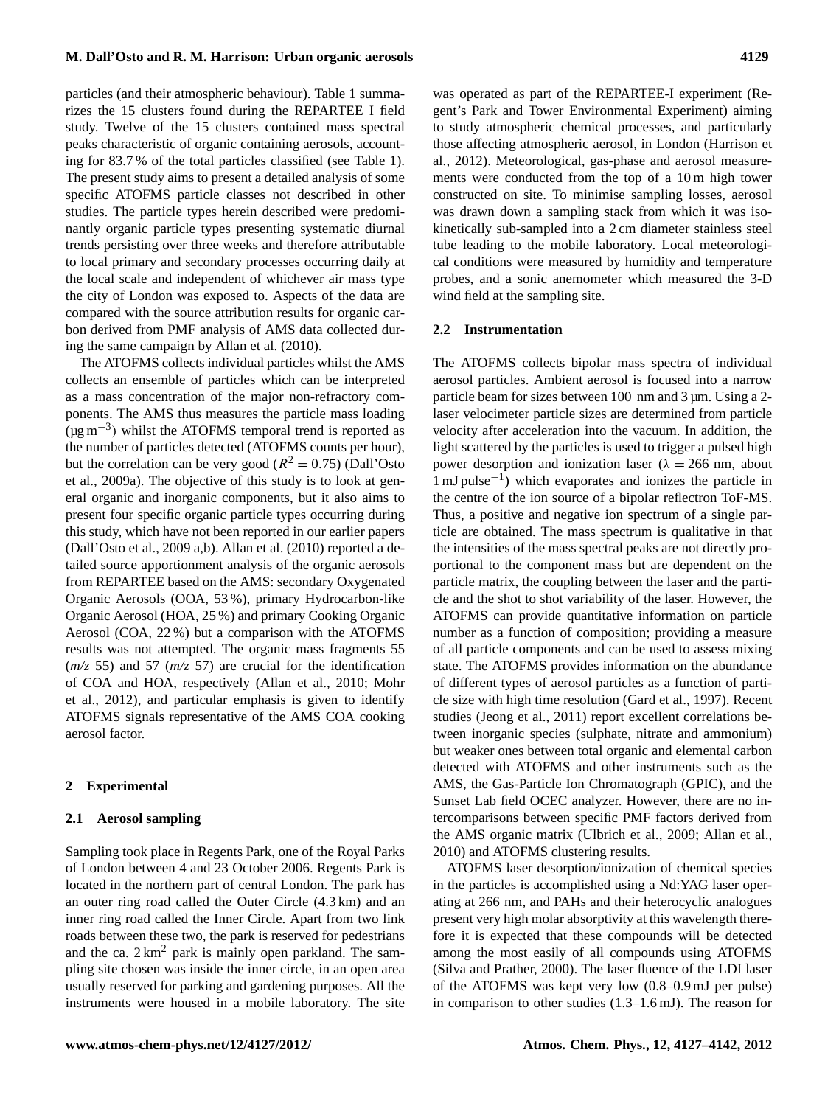particles (and their atmospheric behaviour). Table 1 summarizes the 15 clusters found during the REPARTEE I field study. Twelve of the 15 clusters contained mass spectral peaks characteristic of organic containing aerosols, accounting for 83.7 % of the total particles classified (see Table 1). The present study aims to present a detailed analysis of some specific ATOFMS particle classes not described in other studies. The particle types herein described were predominantly organic particle types presenting systematic diurnal trends persisting over three weeks and therefore attributable to local primary and secondary processes occurring daily at the local scale and independent of whichever air mass type the city of London was exposed to. Aspects of the data are compared with the source attribution results for organic carbon derived from PMF analysis of AMS data collected during the same campaign by Allan et al. (2010).

The ATOFMS collects individual particles whilst the AMS collects an ensemble of particles which can be interpreted as a mass concentration of the major non-refractory components. The AMS thus measures the particle mass loading  $(\mu g m^{-3})$  whilst the ATOFMS temporal trend is reported as the number of particles detected (ATOFMS counts per hour), but the correlation can be very good ( $R^2 = 0.75$ ) (Dall'Osto et al., 2009a). The objective of this study is to look at general organic and inorganic components, but it also aims to present four specific organic particle types occurring during this study, which have not been reported in our earlier papers (Dall'Osto et al., 2009 a,b). Allan et al. (2010) reported a detailed source apportionment analysis of the organic aerosols from REPARTEE based on the AMS: secondary Oxygenated Organic Aerosols (OOA, 53 %), primary Hydrocarbon-like Organic Aerosol (HOA, 25 %) and primary Cooking Organic Aerosol (COA, 22 %) but a comparison with the ATOFMS results was not attempted. The organic mass fragments 55  $(m/z 55)$  and 57  $(m/z 57)$  are crucial for the identification of COA and HOA, respectively (Allan et al., 2010; Mohr et al., 2012), and particular emphasis is given to identify ATOFMS signals representative of the AMS COA cooking aerosol factor.

#### **2 Experimental**

#### **2.1 Aerosol sampling**

Sampling took place in Regents Park, one of the Royal Parks of London between 4 and 23 October 2006. Regents Park is located in the northern part of central London. The park has an outer ring road called the Outer Circle (4.3 km) and an inner ring road called the Inner Circle. Apart from two link roads between these two, the park is reserved for pedestrians and the ca.  $2 \text{ km}^2$  park is mainly open parkland. The sampling site chosen was inside the inner circle, in an open area usually reserved for parking and gardening purposes. All the instruments were housed in a mobile laboratory. The site

was operated as part of the REPARTEE-I experiment (Regent's Park and Tower Environmental Experiment) aiming to study atmospheric chemical processes, and particularly those affecting atmospheric aerosol, in London (Harrison et al., 2012). Meteorological, gas-phase and aerosol measurements were conducted from the top of a 10 m high tower constructed on site. To minimise sampling losses, aerosol was drawn down a sampling stack from which it was isokinetically sub-sampled into a 2 cm diameter stainless steel tube leading to the mobile laboratory. Local meteorological conditions were measured by humidity and temperature probes, and a sonic anemometer which measured the 3-D wind field at the sampling site.

#### **2.2 Instrumentation**

The ATOFMS collects bipolar mass spectra of individual aerosol particles. Ambient aerosol is focused into a narrow particle beam for sizes between 100 nm and 3 µm. Using a 2 laser velocimeter particle sizes are determined from particle velocity after acceleration into the vacuum. In addition, the light scattered by the particles is used to trigger a pulsed high power desorption and ionization laser ( $\lambda = 266$  nm, about 1 mJ pulse−<sup>1</sup> ) which evaporates and ionizes the particle in the centre of the ion source of a bipolar reflectron ToF-MS. Thus, a positive and negative ion spectrum of a single particle are obtained. The mass spectrum is qualitative in that the intensities of the mass spectral peaks are not directly proportional to the component mass but are dependent on the particle matrix, the coupling between the laser and the particle and the shot to shot variability of the laser. However, the ATOFMS can provide quantitative information on particle number as a function of composition; providing a measure of all particle components and can be used to assess mixing state. The ATOFMS provides information on the abundance of different types of aerosol particles as a function of particle size with high time resolution (Gard et al., 1997). Recent studies (Jeong et al., 2011) report excellent correlations between inorganic species (sulphate, nitrate and ammonium) but weaker ones between total organic and elemental carbon detected with ATOFMS and other instruments such as the AMS, the Gas-Particle Ion Chromatograph (GPIC), and the Sunset Lab field OCEC analyzer. However, there are no intercomparisons between specific PMF factors derived from the AMS organic matrix (Ulbrich et al., 2009; Allan et al., 2010) and ATOFMS clustering results.

ATOFMS laser desorption/ionization of chemical species in the particles is accomplished using a Nd:YAG laser operating at 266 nm, and PAHs and their heterocyclic analogues present very high molar absorptivity at this wavelength therefore it is expected that these compounds will be detected among the most easily of all compounds using ATOFMS (Silva and Prather, 2000). The laser fluence of the LDI laser of the ATOFMS was kept very low (0.8–0.9 mJ per pulse) in comparison to other studies (1.3–1.6 mJ). The reason for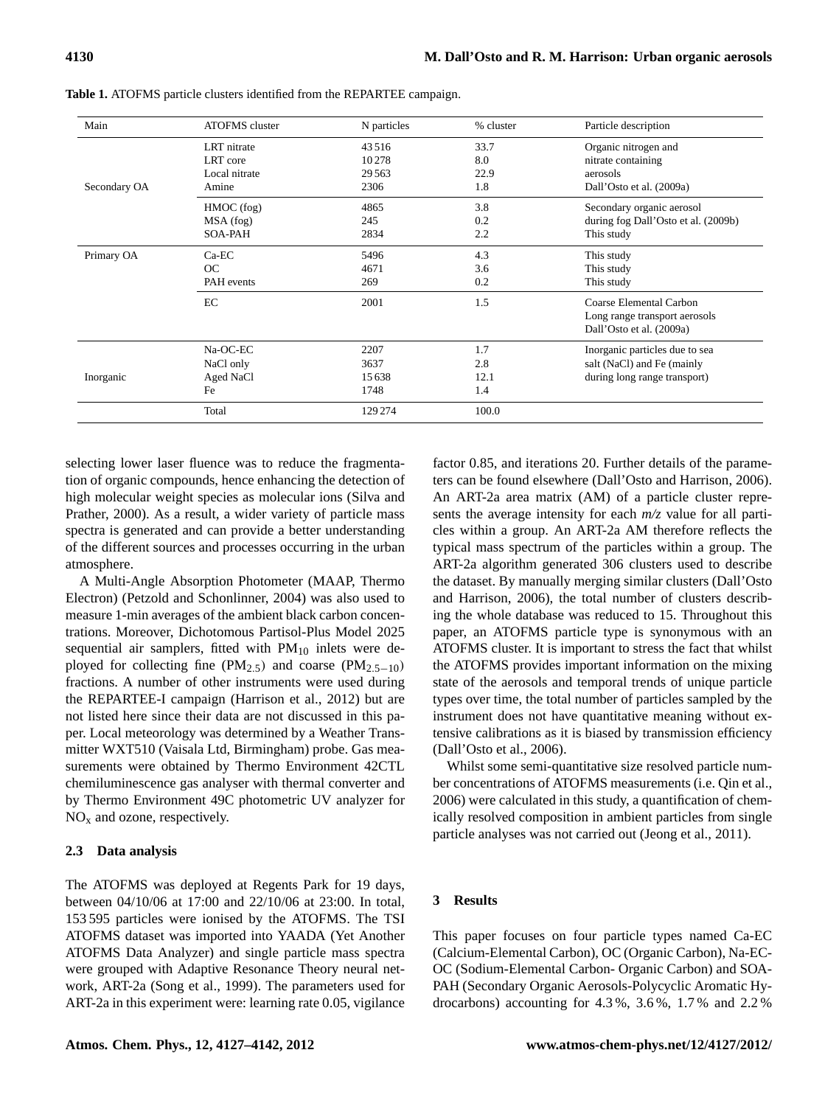| Main         | <b>ATOFMS</b> cluster | N particles | % cluster | Particle description                |
|--------------|-----------------------|-------------|-----------|-------------------------------------|
|              | LRT nitrate           | 43516       | 33.7      | Organic nitrogen and                |
|              | LRT core              | 10278       | 8.0       | nitrate containing                  |
|              | Local nitrate         | 29 5 63     | 22.9      | aerosols                            |
| Secondary OA | Amine                 | 2306        | 1.8       | Dall'Osto et al. (2009a)            |
|              | HMOC (fog)            | 4865        | 3.8       | Secondary organic aerosol           |
|              | MSA (fog)             | 245         | 0.2       | during fog Dall'Osto et al. (2009b) |
|              | SOA-PAH               | 2834        | 2.2       | This study                          |
| Primary OA   | Ca-EC                 | 5496        | 4.3       | This study                          |
|              | OC                    | 4671        | 3.6       | This study                          |
|              | PAH events            | 269         | 0.2       | This study                          |
|              | EC                    | 2001        | 1.5       | Coarse Elemental Carbon             |
|              |                       |             |           | Long range transport aerosols       |
|              |                       |             |           | Dall'Osto et al. (2009a)            |
|              | Na-OC-EC              | 2207        | 1.7       | Inorganic particles due to sea      |
|              | NaCl only             | 3637        | 2.8       | salt (NaCl) and Fe (mainly          |
| Inorganic    | Aged NaCl             | 15638       | 12.1      | during long range transport)        |
|              | Fe                    | 1748        | 1.4       |                                     |
|              | Total                 | 129 274     | 100.0     |                                     |

**Table 1.** ATOFMS particle clusters identified from the REPARTEE campaign.

selecting lower laser fluence was to reduce the fragmentation of organic compounds, hence enhancing the detection of high molecular weight species as molecular ions (Silva and Prather, 2000). As a result, a wider variety of particle mass spectra is generated and can provide a better understanding of the different sources and processes occurring in the urban atmosphere.

A Multi-Angle Absorption Photometer (MAAP, Thermo Electron) (Petzold and Schonlinner, 2004) was also used to measure 1-min averages of the ambient black carbon concentrations. Moreover, Dichotomous Partisol-Plus Model 2025 sequential air samplers, fitted with  $PM_{10}$  inlets were deployed for collecting fine  $(PM_{2.5})$  and coarse  $(PM_{2.5-10})$ fractions. A number of other instruments were used during the REPARTEE-I campaign (Harrison et al., 2012) but are not listed here since their data are not discussed in this paper. Local meteorology was determined by a Weather Transmitter WXT510 (Vaisala Ltd, Birmingham) probe. Gas measurements were obtained by Thermo Environment 42CTL chemiluminescence gas analyser with thermal converter and by Thermo Environment 49C photometric UV analyzer for  $NO<sub>x</sub>$  and ozone, respectively.

# **2.3 Data analysis**

The ATOFMS was deployed at Regents Park for 19 days, between 04/10/06 at 17:00 and 22/10/06 at 23:00. In total, 153 595 particles were ionised by the ATOFMS. The TSI ATOFMS dataset was imported into YAADA (Yet Another ATOFMS Data Analyzer) and single particle mass spectra were grouped with Adaptive Resonance Theory neural network, ART-2a (Song et al., 1999). The parameters used for ART-2a in this experiment were: learning rate 0.05, vigilance factor 0.85, and iterations 20. Further details of the parameters can be found elsewhere (Dall'Osto and Harrison, 2006). An ART-2a area matrix (AM) of a particle cluster represents the average intensity for each *m/z* value for all particles within a group. An ART-2a AM therefore reflects the typical mass spectrum of the particles within a group. The ART-2a algorithm generated 306 clusters used to describe the dataset. By manually merging similar clusters (Dall'Osto and Harrison, 2006), the total number of clusters describing the whole database was reduced to 15. Throughout this paper, an ATOFMS particle type is synonymous with an ATOFMS cluster. It is important to stress the fact that whilst the ATOFMS provides important information on the mixing state of the aerosols and temporal trends of unique particle types over time, the total number of particles sampled by the instrument does not have quantitative meaning without extensive calibrations as it is biased by transmission efficiency (Dall'Osto et al., 2006).

Whilst some semi-quantitative size resolved particle number concentrations of ATOFMS measurements (i.e. Qin et al., 2006) were calculated in this study, a quantification of chemically resolved composition in ambient particles from single particle analyses was not carried out (Jeong et al., 2011).

#### **3 Results**

This paper focuses on four particle types named Ca-EC (Calcium-Elemental Carbon), OC (Organic Carbon), Na-EC-OC (Sodium-Elemental Carbon- Organic Carbon) and SOA-PAH (Secondary Organic Aerosols-Polycyclic Aromatic Hydrocarbons) accounting for 4.3 %, 3.6 %, 1.7 % and 2.2 %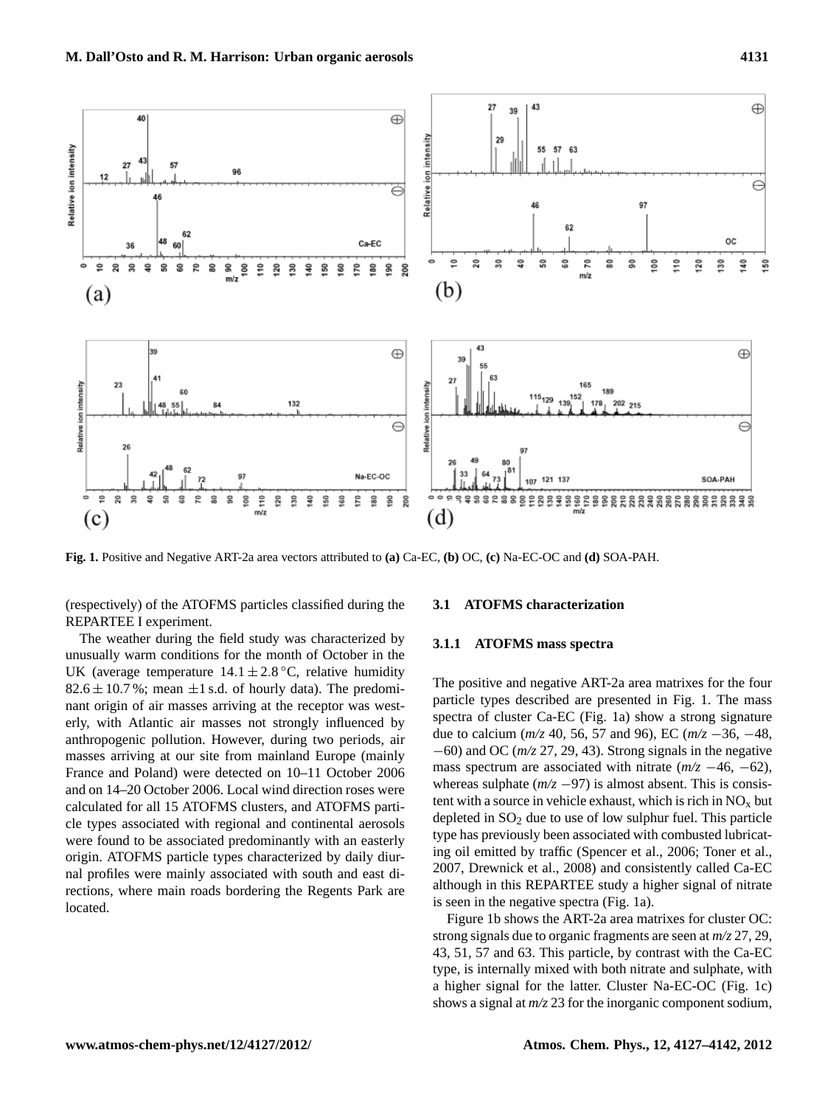

**Fig. 1.** Positive and Negative ART-2a area vectors attributed to **(a)** Ca-EC, **(b)** OC, **(c)** Na-EC-OC and **(d)** SOA-PAH.

(respectively) of the ATOFMS particles classified during the REPARTEE I experiment.

The weather during the field study was characterized by unusually warm conditions for the month of October in the UK (average temperature  $14.1 \pm 2.8$  °C, relative humidity  $82.6 \pm 10.7$ %; mean  $\pm 1$  s.d. of hourly data). The predominant origin of air masses arriving at the receptor was westerly, with Atlantic air masses not strongly influenced by anthropogenic pollution. However, during two periods, air masses arriving at our site from mainland Europe (mainly France and Poland) were detected on 10–11 October 2006 and on 14–20 October 2006. Local wind direction roses were calculated for all 15 ATOFMS clusters, and ATOFMS particle types associated with regional and continental aerosols were found to be associated predominantly with an easterly origin. ATOFMS particle types characterized by daily diurnal profiles were mainly associated with south and east directions, where main roads bordering the Regents Park are located.

# **3.1 ATOFMS characterization**

#### **3.1.1 ATOFMS mass spectra**

The positive and negative ART-2a area matrixes for the four particle types described are presented in Fig. 1. The mass spectra of cluster Ca-EC (Fig. 1a) show a strong signature due to calcium (*m/z* 40, 56, 57 and 96), EC (*m/z* −36, −48, −60) and OC (*m/z* 27, 29, 43). Strong signals in the negative mass spectrum are associated with nitrate (*m/z* −46, −62), whereas sulphate  $(m/z - 97)$  is almost absent. This is consistent with a source in vehicle exhaust, which is rich in  $NO_x$  but depleted in  $SO<sub>2</sub>$  due to use of low sulphur fuel. This particle type has previously been associated with combusted lubricating oil emitted by traffic (Spencer et al., 2006; Toner et al., 2007, Drewnick et al., 2008) and consistently called Ca-EC although in this REPARTEE study a higher signal of nitrate is seen in the negative spectra (Fig. 1a).

Figure 1b shows the ART-2a area matrixes for cluster OC: strong signals due to organic fragments are seen at *m/z* 27, 29, 43, 51, 57 and 63. This particle, by contrast with the Ca-EC type, is internally mixed with both nitrate and sulphate, with a higher signal for the latter. Cluster Na-EC-OC (Fig. 1c) shows a signal at *m/z* 23 for the inorganic component sodium,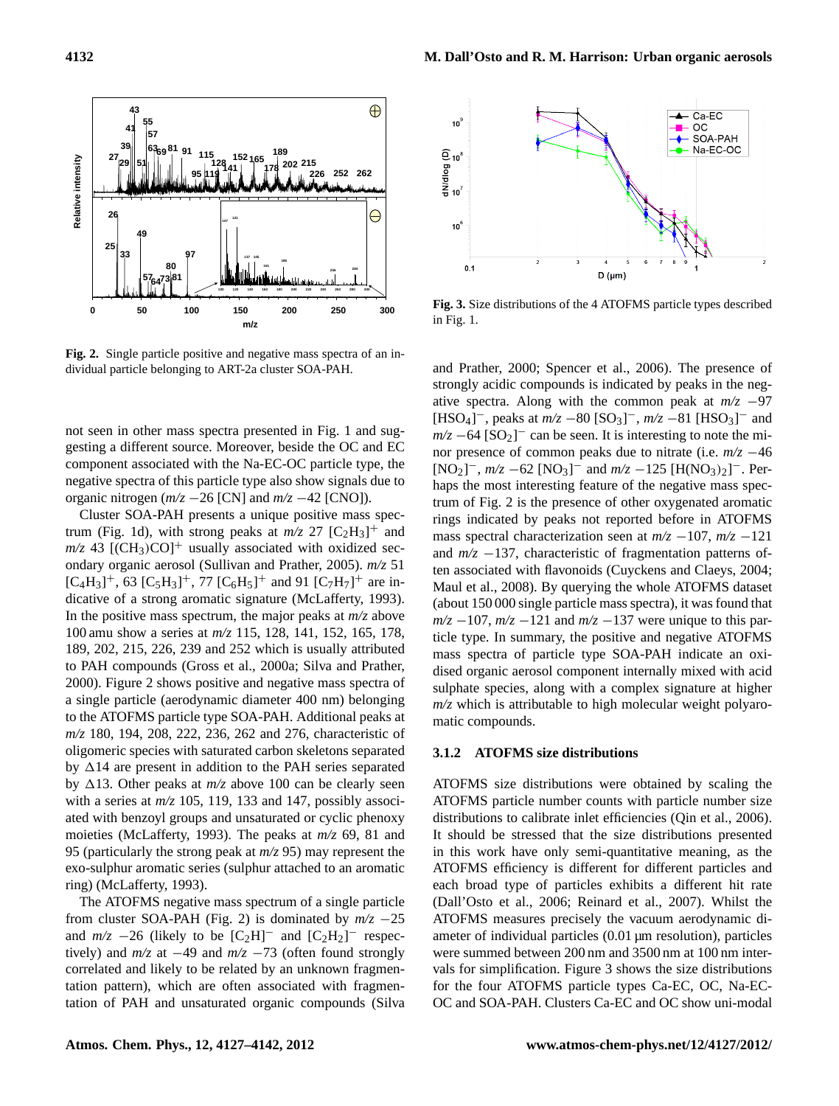**43**

**41**



**Fig. 2.** Single particle positive and negative mass spectra of an individual particle belonging to ART-2a cluster SOA-PAH.

not seen in other mass spectra presented in Fig. 1 and suggesting a different source. Moreover, beside the OC and EC component associated with the Na-EC-OC particle type, the negative spectra of this particle type also show signals due to organic nitrogen (*m/z* −26 [CN] and *m/z* −42 [CNO]).

Cluster SOA-PAH presents a unique positive mass spectrum (Fig. 1d), with strong peaks at  $m/z$  27 [C<sub>2</sub>H<sub>3</sub>]<sup>+</sup> and  $m/z$  43 [(CH<sub>3</sub>)CO]<sup>+</sup> usually associated with oxidized secondary organic aerosol (Sullivan and Prather, 2005). *m/z* 51  $[C_4H_3]^+$ , 63  $[C_5H_3]^+$ , 77  $[C_6H_5]^+$  and 91  $[C_7H_7]^+$  are indicative of a strong aromatic signature (McLafferty, 1993). In the positive mass spectrum, the major peaks at *m/z* above 100 amu show a series at *m/z* 115, 128, 141, 152, 165, 178, 189, 202, 215, 226, 239 and 252 which is usually attributed to PAH compounds (Gross et al., 2000a; Silva and Prather, 2000). Figure 2 shows positive and negative mass spectra of a single particle (aerodynamic diameter 400 nm) belonging to the ATOFMS particle type SOA-PAH. Additional peaks at *m/z* 180, 194, 208, 222, 236, 262 and 276, characteristic of oligomeric species with saturated carbon skeletons separated by  $\Delta$ 14 are present in addition to the PAH series separated by  $\Delta$ 13. Other peaks at  $m/z$  above 100 can be clearly seen with a series at *m/z* 105, 119, 133 and 147, possibly associated with benzoyl groups and unsaturated or cyclic phenoxy moieties (McLafferty, 1993). The peaks at *m/z* 69, 81 and 95 (particularly the strong peak at *m/z* 95) may represent the exo-sulphur aromatic series (sulphur attached to an aromatic ring) (McLafferty, 1993).

The ATOFMS negative mass spectrum of a single particle from cluster SOA-PAH (Fig. 2) is dominated by  $m/z$  –25 and  $m/z$  -26 (likely to be  $[C_2H]$ <sup>-</sup> and  $[C_2H_2]$ <sup>-</sup> respectively) and *m/z* at −49 and *m/z* −73 (often found strongly correlated and likely to be related by an unknown fragmentation pattern), which are often associated with fragmentation of PAH and unsaturated organic compounds (Silva





**Fig. 3.** Size distributions of the 4 ATOFMS particle types described in Fig. 1.

and Prather, 2000; Spencer et al., 2006). The presence of strongly acidic compounds is indicated by peaks in the negative spectra. Along with the common peak at  $m/z$  –97  $[HSO_4]^-$ , peaks at  $m/z - 80 [SO_3]^-$ ,  $m/z - 81 [HSO_3]^-$  and  $m/z - 64$  [SO<sub>2</sub>]<sup>-</sup> can be seen. It is interesting to note the minor presence of common peaks due to nitrate (i.e. *m/z* −46  $[NO<sub>2</sub>]<sup>-</sup>$ ,  $m/z -62 [NO<sub>3</sub>]<sup>-</sup>$  and  $m/z -125 [H(NO<sub>3</sub>)<sub>2</sub>]<sup>-</sup>$ . Perhaps the most interesting feature of the negative mass spectrum of Fig. 2 is the presence of other oxygenated aromatic rings indicated by peaks not reported before in ATOFMS mass spectral characterization seen at  $m/z - 107$ ,  $m/z - 121$ and *m/z* −137, characteristic of fragmentation patterns often associated with flavonoids (Cuyckens and Claeys, 2004; Maul et al., 2008). By querying the whole ATOFMS dataset (about 150 000 single particle mass spectra), it was found that *m/z* −107, *m/z* −121 and *m/z* −137 were unique to this particle type. In summary, the positive and negative ATOFMS mass spectra of particle type SOA-PAH indicate an oxidised organic aerosol component internally mixed with acid sulphate species, along with a complex signature at higher *m/z* which is attributable to high molecular weight polyaromatic compounds.

# **3.1.2 ATOFMS size distributions**

ATOFMS size distributions were obtained by scaling the ATOFMS particle number counts with particle number size distributions to calibrate inlet efficiencies (Qin et al., 2006). It should be stressed that the size distributions presented in this work have only semi-quantitative meaning, as the ATOFMS efficiency is different for different particles and each broad type of particles exhibits a different hit rate (Dall'Osto et al., 2006; Reinard et al., 2007). Whilst the ATOFMS measures precisely the vacuum aerodynamic diameter of individual particles (0.01 µm resolution), particles were summed between 200 nm and 3500 nm at 100 nm intervals for simplification. Figure 3 shows the size distributions for the four ATOFMS particle types Ca-EC, OC, Na-EC-OC and SOA-PAH. Clusters Ca-EC and OC show uni-modal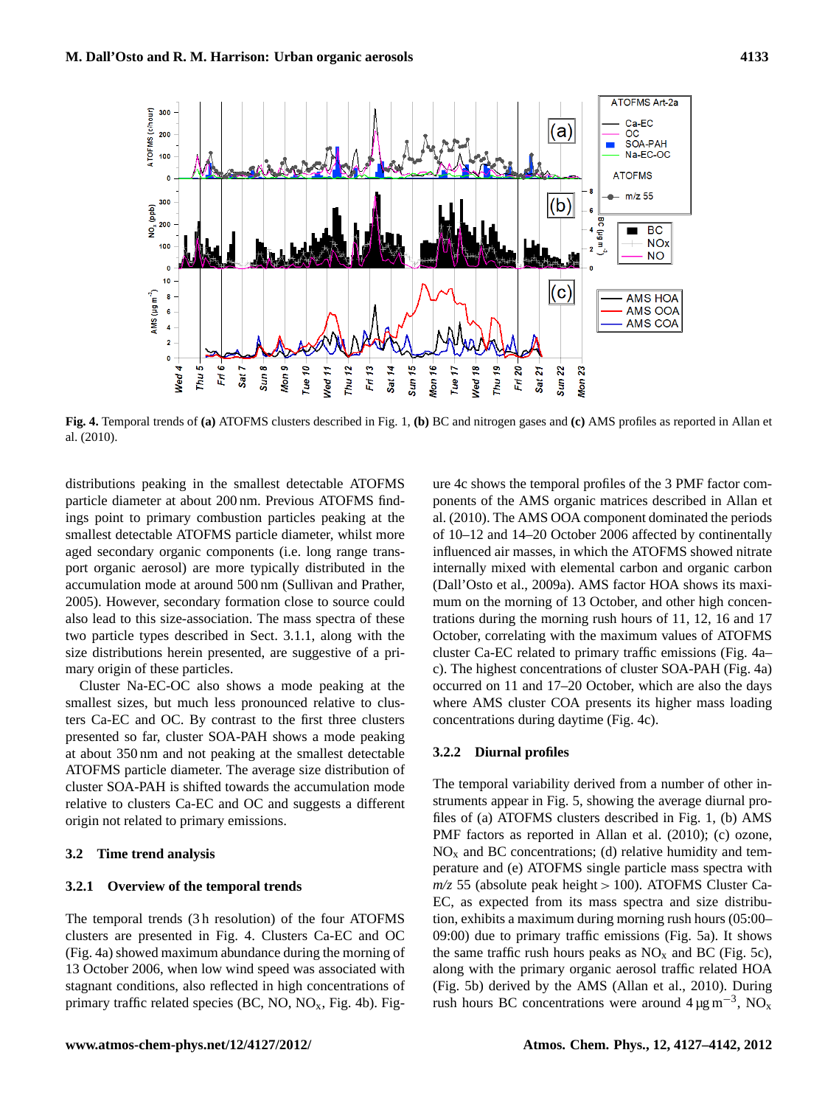

**Fig. 4.** Temporal trends of **(a)** ATOFMS clusters described in Fig. 1, **(b)** BC and nitrogen gases and **(c)** AMS profiles as reported in Allan et al. (2010).

distributions peaking in the smallest detectable ATOFMS particle diameter at about 200 nm. Previous ATOFMS findings point to primary combustion particles peaking at the smallest detectable ATOFMS particle diameter, whilst more aged secondary organic components (i.e. long range transport organic aerosol) are more typically distributed in the accumulation mode at around 500 nm (Sullivan and Prather, 2005). However, secondary formation close to source could also lead to this size-association. The mass spectra of these two particle types described in Sect. 3.1.1, along with the size distributions herein presented, are suggestive of a primary origin of these particles.

Cluster Na-EC-OC also shows a mode peaking at the smallest sizes, but much less pronounced relative to clusters Ca-EC and OC. By contrast to the first three clusters presented so far, cluster SOA-PAH shows a mode peaking at about 350 nm and not peaking at the smallest detectable ATOFMS particle diameter. The average size distribution of cluster SOA-PAH is shifted towards the accumulation mode relative to clusters Ca-EC and OC and suggests a different origin not related to primary emissions.

#### **3.2 Time trend analysis**

#### **3.2.1 Overview of the temporal trends**

The temporal trends (3 h resolution) of the four ATOFMS clusters are presented in Fig. 4. Clusters Ca-EC and OC (Fig. 4a) showed maximum abundance during the morning of 13 October 2006, when low wind speed was associated with stagnant conditions, also reflected in high concentrations of primary traffic related species (BC, NO,  $NO<sub>x</sub>$ , Fig. 4b). Figure 4c shows the temporal profiles of the 3 PMF factor components of the AMS organic matrices described in Allan et al. (2010). The AMS OOA component dominated the periods of 10–12 and 14–20 October 2006 affected by continentally influenced air masses, in which the ATOFMS showed nitrate internally mixed with elemental carbon and organic carbon (Dall'Osto et al., 2009a). AMS factor HOA shows its maximum on the morning of 13 October, and other high concentrations during the morning rush hours of 11, 12, 16 and 17 October, correlating with the maximum values of ATOFMS cluster Ca-EC related to primary traffic emissions (Fig. 4a– c). The highest concentrations of cluster SOA-PAH (Fig. 4a) occurred on 11 and 17–20 October, which are also the days where AMS cluster COA presents its higher mass loading concentrations during daytime (Fig. 4c).

# **3.2.2 Diurnal profiles**

The temporal variability derived from a number of other instruments appear in Fig. 5, showing the average diurnal profiles of (a) ATOFMS clusters described in Fig. 1, (b) AMS PMF factors as reported in Allan et al. (2010); (c) ozone,  $NO<sub>x</sub>$  and BC concentrations; (d) relative humidity and temperature and (e) ATOFMS single particle mass spectra with *m/z* 55 (absolute peak height > 100). ATOFMS Cluster Ca-EC, as expected from its mass spectra and size distribution, exhibits a maximum during morning rush hours (05:00– 09:00) due to primary traffic emissions (Fig. 5a). It shows the same traffic rush hours peaks as  $NO<sub>x</sub>$  and BC (Fig. 5c), along with the primary organic aerosol traffic related HOA (Fig. 5b) derived by the AMS (Allan et al., 2010). During rush hours BC concentrations were around  $4 \mu g m^{-3}$ , NO<sub>x</sub>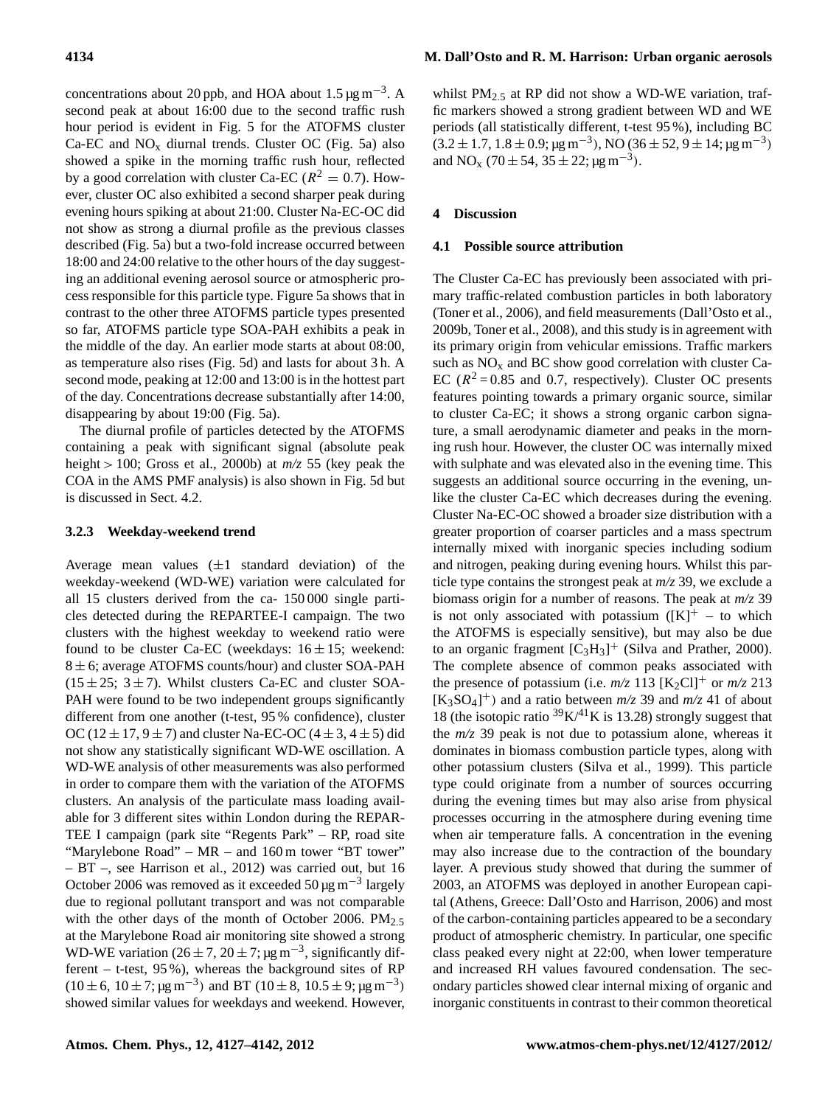concentrations about 20 ppb, and HOA about 1.5  $\mu$ g m<sup>-3</sup>. A second peak at about 16:00 due to the second traffic rush hour period is evident in Fig. 5 for the ATOFMS cluster Ca-EC and  $NO<sub>x</sub>$  diurnal trends. Cluster OC (Fig. 5a) also showed a spike in the morning traffic rush hour, reflected by a good correlation with cluster Ca-EC ( $R^2 = 0.7$ ). However, cluster OC also exhibited a second sharper peak during evening hours spiking at about 21:00. Cluster Na-EC-OC did not show as strong a diurnal profile as the previous classes described (Fig. 5a) but a two-fold increase occurred between 18:00 and 24:00 relative to the other hours of the day suggesting an additional evening aerosol source or atmospheric process responsible for this particle type. Figure 5a shows that in contrast to the other three ATOFMS particle types presented so far, ATOFMS particle type SOA-PAH exhibits a peak in the middle of the day. An earlier mode starts at about 08:00, as temperature also rises (Fig. 5d) and lasts for about 3 h. A second mode, peaking at 12:00 and 13:00 is in the hottest part of the day. Concentrations decrease substantially after 14:00, disappearing by about 19:00 (Fig. 5a).

The diurnal profile of particles detected by the ATOFMS containing a peak with significant signal (absolute peak height > 100; Gross et al., 2000b) at *m/z* 55 (key peak the COA in the AMS PMF analysis) is also shown in Fig. 5d but is discussed in Sect. 4.2.

# **3.2.3 Weekday-weekend trend**

Average mean values  $(\pm 1$  standard deviation) of the weekday-weekend (WD-WE) variation were calculated for all 15 clusters derived from the ca- 150 000 single particles detected during the REPARTEE-I campaign. The two clusters with the highest weekday to weekend ratio were found to be cluster Ca-EC (weekdays:  $16 \pm 15$ ; weekend:  $8 \pm 6$ ; average ATOFMS counts/hour) and cluster SOA-PAH  $(15 \pm 25; 3 \pm 7)$ . Whilst clusters Ca-EC and cluster SOA-PAH were found to be two independent groups significantly different from one another (t-test, 95 % confidence), cluster OC (12  $\pm$  17, 9  $\pm$  7) and cluster Na-EC-OC (4  $\pm$  3, 4  $\pm$  5) did not show any statistically significant WD-WE oscillation. A WD-WE analysis of other measurements was also performed in order to compare them with the variation of the ATOFMS clusters. An analysis of the particulate mass loading available for 3 different sites within London during the REPAR-TEE I campaign (park site "Regents Park" – RP, road site "Marylebone Road" – MR – and 160 m tower "BT tower" – BT –, see Harrison et al., 2012) was carried out, but 16 October 2006 was removed as it exceeded 50  $\mu$ g m<sup>-3</sup> largely due to regional pollutant transport and was not comparable with the other days of the month of October 2006. PM $_2$ . at the Marylebone Road air monitoring site showed a strong WD-WE variation (26 ± 7, 20 ± 7;  $\mu$ g m<sup>-3</sup>, significantly different – t-test,  $95\%$ ), whereas the background sites of RP  $(10 \pm 6, 10 \pm 7; \mu g m^{-3})$  and BT  $(10 \pm 8, 10.5 \pm 9; \mu g m^{-3})$ showed similar values for weekdays and weekend. However, whilst PM<sub>2.5</sub> at RP did not show a WD-WE variation, traffic markers showed a strong gradient between WD and WE periods (all statistically different, t-test 95 %), including BC  $(3.2 \pm 1.7, 1.8 \pm 0.9; \mu g m^{-3})$ , NO  $(36 \pm 52, 9 \pm 14; \mu g m^{-3})$ and NO<sub>x</sub> (70  $\pm$  54, 35  $\pm$  22; µg m<sup>-3</sup>).

# **4 Discussion**

#### **4.1 Possible source attribution**

The Cluster Ca-EC has previously been associated with primary traffic-related combustion particles in both laboratory (Toner et al., 2006), and field measurements (Dall'Osto et al., 2009b, Toner et al., 2008), and this study is in agreement with its primary origin from vehicular emissions. Traffic markers such as  $NO<sub>x</sub>$  and BC show good correlation with cluster Ca-EC ( $R^2 = 0.85$  and 0.7, respectively). Cluster OC presents features pointing towards a primary organic source, similar to cluster Ca-EC; it shows a strong organic carbon signature, a small aerodynamic diameter and peaks in the morning rush hour. However, the cluster OC was internally mixed with sulphate and was elevated also in the evening time. This suggests an additional source occurring in the evening, unlike the cluster Ca-EC which decreases during the evening. Cluster Na-EC-OC showed a broader size distribution with a greater proportion of coarser particles and a mass spectrum internally mixed with inorganic species including sodium and nitrogen, peaking during evening hours. Whilst this particle type contains the strongest peak at *m/z* 39, we exclude a biomass origin for a number of reasons. The peak at *m/z* 39 is not only associated with potassium  $([K]^+]$  – to which the ATOFMS is especially sensitive), but may also be due to an organic fragment  $[C_3H_3]^+$  (Silva and Prather, 2000). The complete absence of common peaks associated with the presence of potassium (i.e.  $m/z$  113  $[K_2Cl]^+$  or  $m/z$  213  $[K_3SO_4]^+$ ) and a ratio between  $m/z$  39 and  $m/z$  41 of about 18 (the isotopic ratio  ${}^{39}K^{41}K$  is 13.28) strongly suggest that the *m/z* 39 peak is not due to potassium alone, whereas it dominates in biomass combustion particle types, along with other potassium clusters (Silva et al., 1999). This particle type could originate from a number of sources occurring during the evening times but may also arise from physical processes occurring in the atmosphere during evening time when air temperature falls. A concentration in the evening may also increase due to the contraction of the boundary layer. A previous study showed that during the summer of 2003, an ATOFMS was deployed in another European capital (Athens, Greece: Dall'Osto and Harrison, 2006) and most of the carbon-containing particles appeared to be a secondary product of atmospheric chemistry. In particular, one specific class peaked every night at 22:00, when lower temperature and increased RH values favoured condensation. The secondary particles showed clear internal mixing of organic and inorganic constituents in contrast to their common theoretical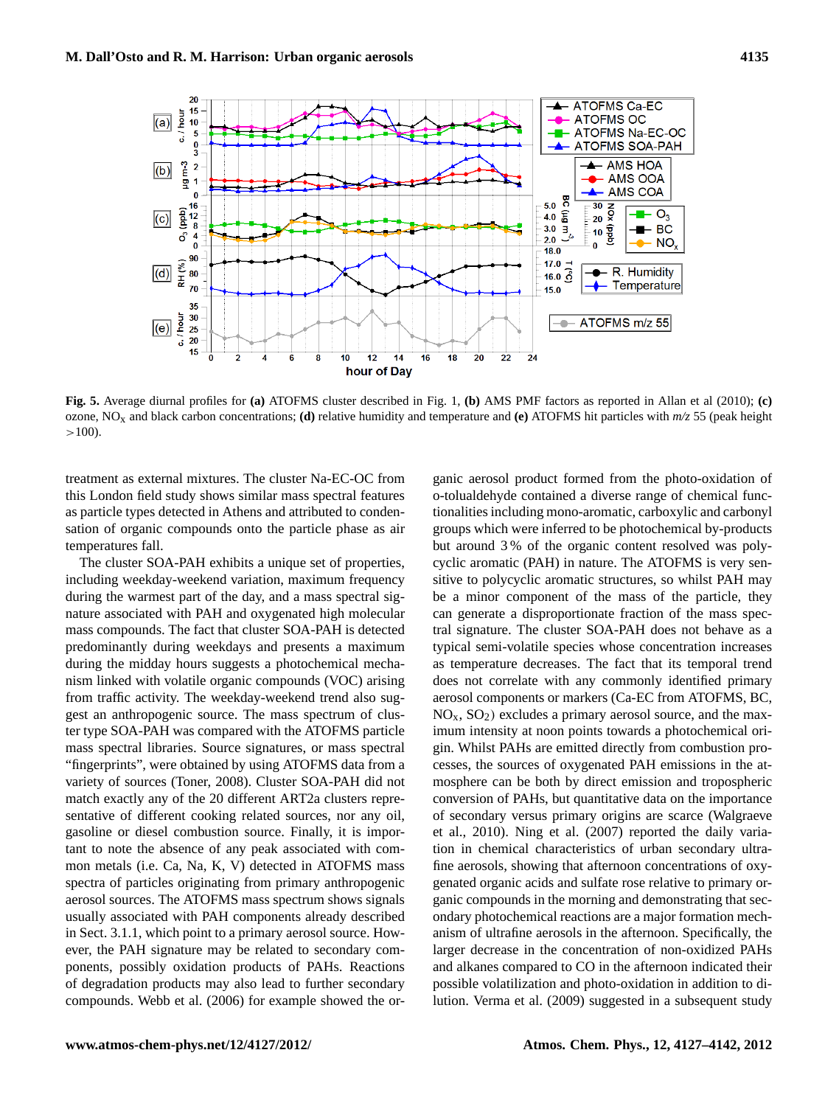

**Fig. 5.** Average diurnal profiles for **(a)** ATOFMS cluster described in Fig. 1, **(b)** AMS PMF factors as reported in Allan et al (2010); **(c)** ozone, NO<sub>x</sub> and black carbon concentrations; **(d)** relative humidity and temperature and **(e)** ATOFMS hit particles with  $m/z$  55 (peak height  $>100$ ).

treatment as external mixtures. The cluster Na-EC-OC from this London field study shows similar mass spectral features as particle types detected in Athens and attributed to condensation of organic compounds onto the particle phase as air temperatures fall.

The cluster SOA-PAH exhibits a unique set of properties, including weekday-weekend variation, maximum frequency during the warmest part of the day, and a mass spectral signature associated with PAH and oxygenated high molecular mass compounds. The fact that cluster SOA-PAH is detected predominantly during weekdays and presents a maximum during the midday hours suggests a photochemical mechanism linked with volatile organic compounds (VOC) arising from traffic activity. The weekday-weekend trend also suggest an anthropogenic source. The mass spectrum of cluster type SOA-PAH was compared with the ATOFMS particle mass spectral libraries. Source signatures, or mass spectral "fingerprints", were obtained by using ATOFMS data from a variety of sources (Toner, 2008). Cluster SOA-PAH did not match exactly any of the 20 different ART2a clusters representative of different cooking related sources, nor any oil, gasoline or diesel combustion source. Finally, it is important to note the absence of any peak associated with common metals (i.e. Ca, Na, K, V) detected in ATOFMS mass spectra of particles originating from primary anthropogenic aerosol sources. The ATOFMS mass spectrum shows signals usually associated with PAH components already described in Sect. 3.1.1, which point to a primary aerosol source. However, the PAH signature may be related to secondary components, possibly oxidation products of PAHs. Reactions of degradation products may also lead to further secondary compounds. Webb et al. (2006) for example showed the organic aerosol product formed from the photo-oxidation of o-tolualdehyde contained a diverse range of chemical functionalities including mono-aromatic, carboxylic and carbonyl groups which were inferred to be photochemical by-products but around 3 % of the organic content resolved was polycyclic aromatic (PAH) in nature. The ATOFMS is very sensitive to polycyclic aromatic structures, so whilst PAH may be a minor component of the mass of the particle, they can generate a disproportionate fraction of the mass spectral signature. The cluster SOA-PAH does not behave as a typical semi-volatile species whose concentration increases as temperature decreases. The fact that its temporal trend does not correlate with any commonly identified primary aerosol components or markers (Ca-EC from ATOFMS, BC,  $NO<sub>x</sub>$ ,  $SO<sub>2</sub>$ ) excludes a primary aerosol source, and the maximum intensity at noon points towards a photochemical origin. Whilst PAHs are emitted directly from combustion processes, the sources of oxygenated PAH emissions in the atmosphere can be both by direct emission and tropospheric conversion of PAHs, but quantitative data on the importance of secondary versus primary origins are scarce (Walgraeve et al., 2010). Ning et al. (2007) reported the daily variation in chemical characteristics of urban secondary ultrafine aerosols, showing that afternoon concentrations of oxygenated organic acids and sulfate rose relative to primary organic compounds in the morning and demonstrating that secondary photochemical reactions are a major formation mechanism of ultrafine aerosols in the afternoon. Specifically, the larger decrease in the concentration of non-oxidized PAHs and alkanes compared to CO in the afternoon indicated their possible volatilization and photo-oxidation in addition to dilution. Verma et al. (2009) suggested in a subsequent study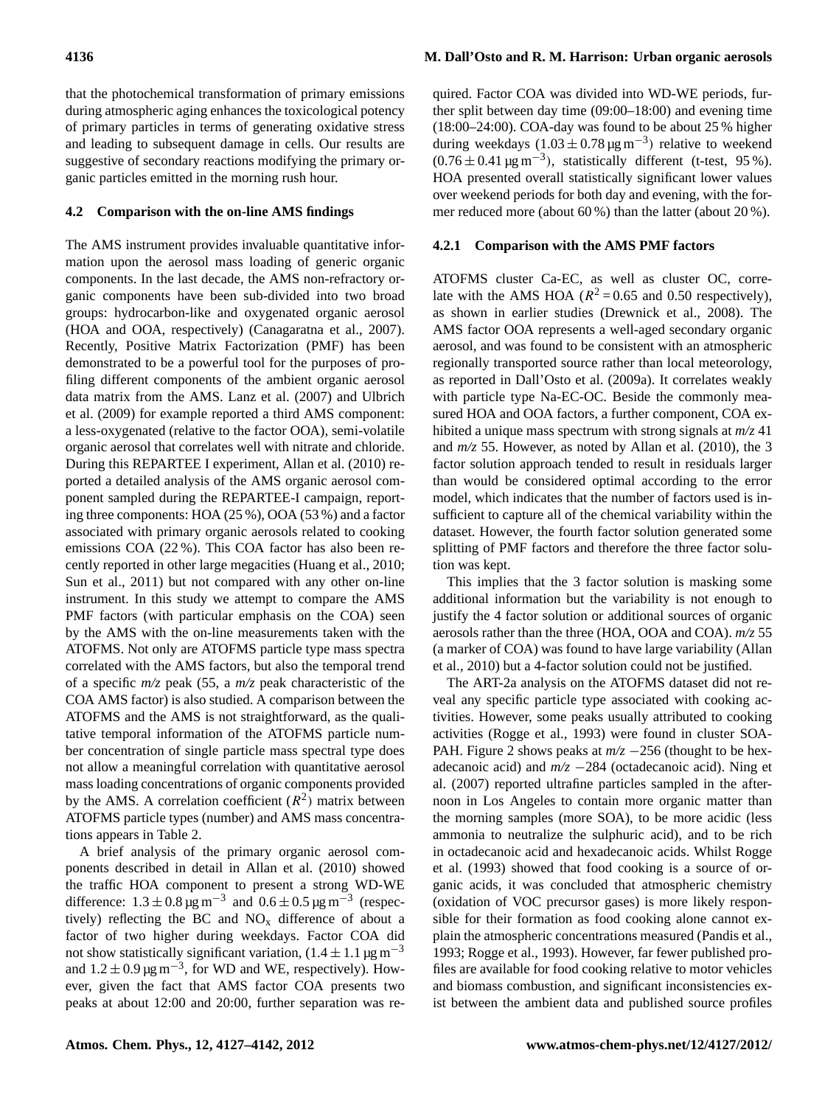that the photochemical transformation of primary emissions during atmospheric aging enhances the toxicological potency of primary particles in terms of generating oxidative stress and leading to subsequent damage in cells. Our results are suggestive of secondary reactions modifying the primary organic particles emitted in the morning rush hour.

#### **4.2 Comparison with the on-line AMS findings**

The AMS instrument provides invaluable quantitative information upon the aerosol mass loading of generic organic components. In the last decade, the AMS non-refractory organic components have been sub-divided into two broad groups: hydrocarbon-like and oxygenated organic aerosol (HOA and OOA, respectively) (Canagaratna et al., 2007). Recently, Positive Matrix Factorization (PMF) has been demonstrated to be a powerful tool for the purposes of profiling different components of the ambient organic aerosol data matrix from the AMS. Lanz et al. (2007) and Ulbrich et al. (2009) for example reported a third AMS component: a less-oxygenated (relative to the factor OOA), semi-volatile organic aerosol that correlates well with nitrate and chloride. During this REPARTEE I experiment, Allan et al. (2010) reported a detailed analysis of the AMS organic aerosol component sampled during the REPARTEE-I campaign, reporting three components: HOA (25 %), OOA (53 %) and a factor associated with primary organic aerosols related to cooking emissions COA (22 %). This COA factor has also been recently reported in other large megacities (Huang et al., 2010; Sun et al., 2011) but not compared with any other on-line instrument. In this study we attempt to compare the AMS PMF factors (with particular emphasis on the COA) seen by the AMS with the on-line measurements taken with the ATOFMS. Not only are ATOFMS particle type mass spectra correlated with the AMS factors, but also the temporal trend of a specific *m/z* peak (55, a *m/z* peak characteristic of the COA AMS factor) is also studied. A comparison between the ATOFMS and the AMS is not straightforward, as the qualitative temporal information of the ATOFMS particle number concentration of single particle mass spectral type does not allow a meaningful correlation with quantitative aerosol mass loading concentrations of organic components provided by the AMS. A correlation coefficient  $(R^2)$  matrix between ATOFMS particle types (number) and AMS mass concentrations appears in Table 2.

A brief analysis of the primary organic aerosol components described in detail in Allan et al. (2010) showed the traffic HOA component to present a strong WD-WE difference:  $1.3 \pm 0.8 \,\text{µg m}^{-3}$  and  $0.6 \pm 0.5 \,\text{µg m}^{-3}$  (respectively) reflecting the BC and  $NO<sub>x</sub>$  difference of about a factor of two higher during weekdays. Factor COA did not show statistically significant variation,  $(1.4 \pm 1.1 \,\text{µg m}^{-3})$ and  $1.2 \pm 0.9 \,\text{\mu g m}^{-3}$ , for WD and WE, respectively). However, given the fact that AMS factor COA presents two peaks at about 12:00 and 20:00, further separation was re-

# **4136 M. Dall'Osto and R. M. Harrison: Urban organic aerosols**

quired. Factor COA was divided into WD-WE periods, further split between day time (09:00–18:00) and evening time (18:00–24:00). COA-day was found to be about 25 % higher during weekdays  $(1.03 \pm 0.78 \,\text{µg m}^{-3})$  relative to weekend  $(0.76 \pm 0.41 \,\text{\mu g m}^{-3})$ , statistically different (t-test, 95 %). HOA presented overall statistically significant lower values over weekend periods for both day and evening, with the former reduced more (about 60 %) than the latter (about 20 %).

#### **4.2.1 Comparison with the AMS PMF factors**

ATOFMS cluster Ca-EC, as well as cluster OC, correlate with the AMS HOA ( $R^2 = 0.65$  and 0.50 respectively), as shown in earlier studies (Drewnick et al., 2008). The AMS factor OOA represents a well-aged secondary organic aerosol, and was found to be consistent with an atmospheric regionally transported source rather than local meteorology, as reported in Dall'Osto et al. (2009a). It correlates weakly with particle type Na-EC-OC. Beside the commonly measured HOA and OOA factors, a further component, COA exhibited a unique mass spectrum with strong signals at *m/z* 41 and *m/z* 55. However, as noted by Allan et al. (2010), the 3 factor solution approach tended to result in residuals larger than would be considered optimal according to the error model, which indicates that the number of factors used is insufficient to capture all of the chemical variability within the dataset. However, the fourth factor solution generated some splitting of PMF factors and therefore the three factor solution was kept.

This implies that the 3 factor solution is masking some additional information but the variability is not enough to justify the 4 factor solution or additional sources of organic aerosols rather than the three (HOA, OOA and COA). *m/z* 55 (a marker of COA) was found to have large variability (Allan et al., 2010) but a 4-factor solution could not be justified.

The ART-2a analysis on the ATOFMS dataset did not reveal any specific particle type associated with cooking activities. However, some peaks usually attributed to cooking activities (Rogge et al., 1993) were found in cluster SOA-PAH. Figure 2 shows peaks at  $m/z$  −256 (thought to be hexadecanoic acid) and *m/z* −284 (octadecanoic acid). Ning et al. (2007) reported ultrafine particles sampled in the afternoon in Los Angeles to contain more organic matter than the morning samples (more SOA), to be more acidic (less ammonia to neutralize the sulphuric acid), and to be rich in octadecanoic acid and hexadecanoic acids. Whilst Rogge et al. (1993) showed that food cooking is a source of organic acids, it was concluded that atmospheric chemistry (oxidation of VOC precursor gases) is more likely responsible for their formation as food cooking alone cannot explain the atmospheric concentrations measured (Pandis et al., 1993; Rogge et al., 1993). However, far fewer published profiles are available for food cooking relative to motor vehicles and biomass combustion, and significant inconsistencies exist between the ambient data and published source profiles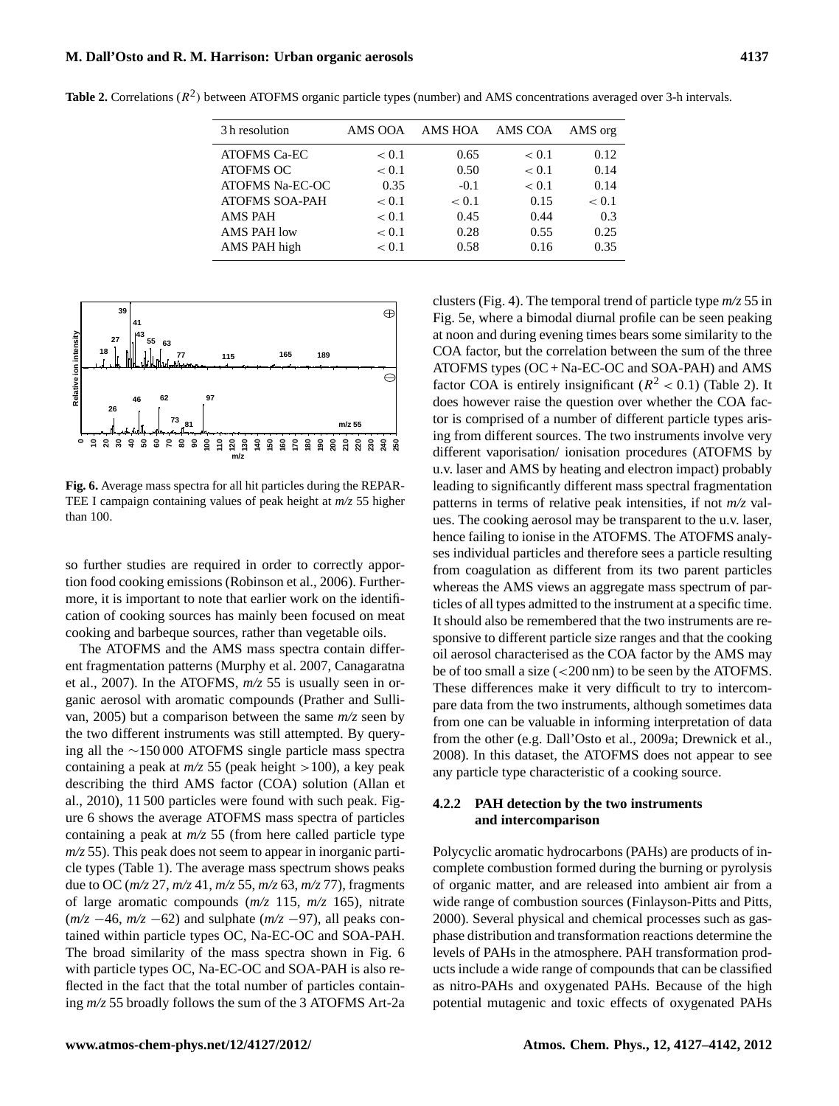| 3 h resolution        | AMS OOA | AMS HOA AMS COA |       | AMS org |
|-----------------------|---------|-----------------|-------|---------|
| <b>ATOFMS Ca-EC</b>   | < 0.1   | 0.65            | < 0.1 | 0.12    |
| <b>ATOFMS OC</b>      | < 0.1   | 0.50            | < 0.1 | 0.14    |
| ATOFMS Na-EC-OC       | 0.35    | $-0.1$          | < 0.1 | 0.14    |
| <b>ATOFMS SOA-PAH</b> | < 0.1   | < 0.1           | 0.15  | < 0.1   |
| <b>AMS PAH</b>        | < 0.1   | 0.45            | 0.44  | 0.3     |
| <b>AMS PAH low</b>    | < 0.1   | 0.28            | 0.55  | 0.25    |
| AMS PAH high          | < 0.1   | 0.58            | 0.16  | 0.35    |

**Table 2.** Correlations  $(R^2)$  between ATOFMS organic particle types (number) and AMS concentrations averaged over 3-h intervals.



**Fig. 6.** Average mass spectra for all hit particles during the REPAR-TEE I campaign containing values of peak height at *m/z* 55 higher than 100.

so further studies are required in order to correctly apportion food cooking emissions (Robinson et al., 2006). Furthermore, it is important to note that earlier work on the identification of cooking sources has mainly been focused on meat cooking and barbeque sources, rather than vegetable oils.

The ATOFMS and the AMS mass spectra contain different fragmentation patterns (Murphy et al. 2007, Canagaratna et al., 2007). In the ATOFMS, *m/z* 55 is usually seen in organic aerosol with aromatic compounds (Prather and Sullivan, 2005) but a comparison between the same *m/z* seen by the two different instruments was still attempted. By querying all the ∼150 000 ATOFMS single particle mass spectra containing a peak at  $m/z$  55 (peak height >100), a key peak describing the third AMS factor (COA) solution (Allan et al., 2010), 11 500 particles were found with such peak. Figure 6 shows the average ATOFMS mass spectra of particles containing a peak at *m/z* 55 (from here called particle type *m/z* 55). This peak does not seem to appear in inorganic particle types (Table 1). The average mass spectrum shows peaks due to OC (*m/z* 27, *m/z* 41, *m/z* 55, *m/z* 63, *m/z* 77), fragments of large aromatic compounds (*m/z* 115, *m/z* 165), nitrate (*m/z* −46, *m/z* −62) and sulphate (*m/z* −97), all peaks contained within particle types OC, Na-EC-OC and SOA-PAH. The broad similarity of the mass spectra shown in Fig. 6 with particle types OC, Na-EC-OC and SOA-PAH is also reflected in the fact that the total number of particles containing *m/z* 55 broadly follows the sum of the 3 ATOFMS Art-2a clusters (Fig. 4). The temporal trend of particle type *m/z* 55 in Fig. 5e, where a bimodal diurnal profile can be seen peaking at noon and during evening times bears some similarity to the COA factor, but the correlation between the sum of the three ATOFMS types (OC + Na-EC-OC and SOA-PAH) and AMS factor COA is entirely insignificant ( $R^2$  < 0.1) (Table 2). It does however raise the question over whether the COA factor is comprised of a number of different particle types arising from different sources. The two instruments involve very different vaporisation/ ionisation procedures (ATOFMS by u.v. laser and AMS by heating and electron impact) probably leading to significantly different mass spectral fragmentation patterns in terms of relative peak intensities, if not *m/z* values. The cooking aerosol may be transparent to the u.v. laser, hence failing to ionise in the ATOFMS. The ATOFMS analyses individual particles and therefore sees a particle resulting from coagulation as different from its two parent particles whereas the AMS views an aggregate mass spectrum of particles of all types admitted to the instrument at a specific time. It should also be remembered that the two instruments are responsive to different particle size ranges and that the cooking oil aerosol characterised as the COA factor by the AMS may be of too small a size (<200 nm) to be seen by the ATOFMS. These differences make it very difficult to try to intercompare data from the two instruments, although sometimes data from one can be valuable in informing interpretation of data from the other (e.g. Dall'Osto et al., 2009a; Drewnick et al., 2008). In this dataset, the ATOFMS does not appear to see any particle type characteristic of a cooking source.

# **4.2.2 PAH detection by the two instruments and intercomparison**

Polycyclic aromatic hydrocarbons (PAHs) are products of incomplete combustion formed during the burning or pyrolysis of organic matter, and are released into ambient air from a wide range of combustion sources (Finlayson-Pitts and Pitts, 2000). Several physical and chemical processes such as gasphase distribution and transformation reactions determine the levels of PAHs in the atmosphere. PAH transformation products include a wide range of compounds that can be classified as nitro-PAHs and oxygenated PAHs. Because of the high potential mutagenic and toxic effects of oxygenated PAHs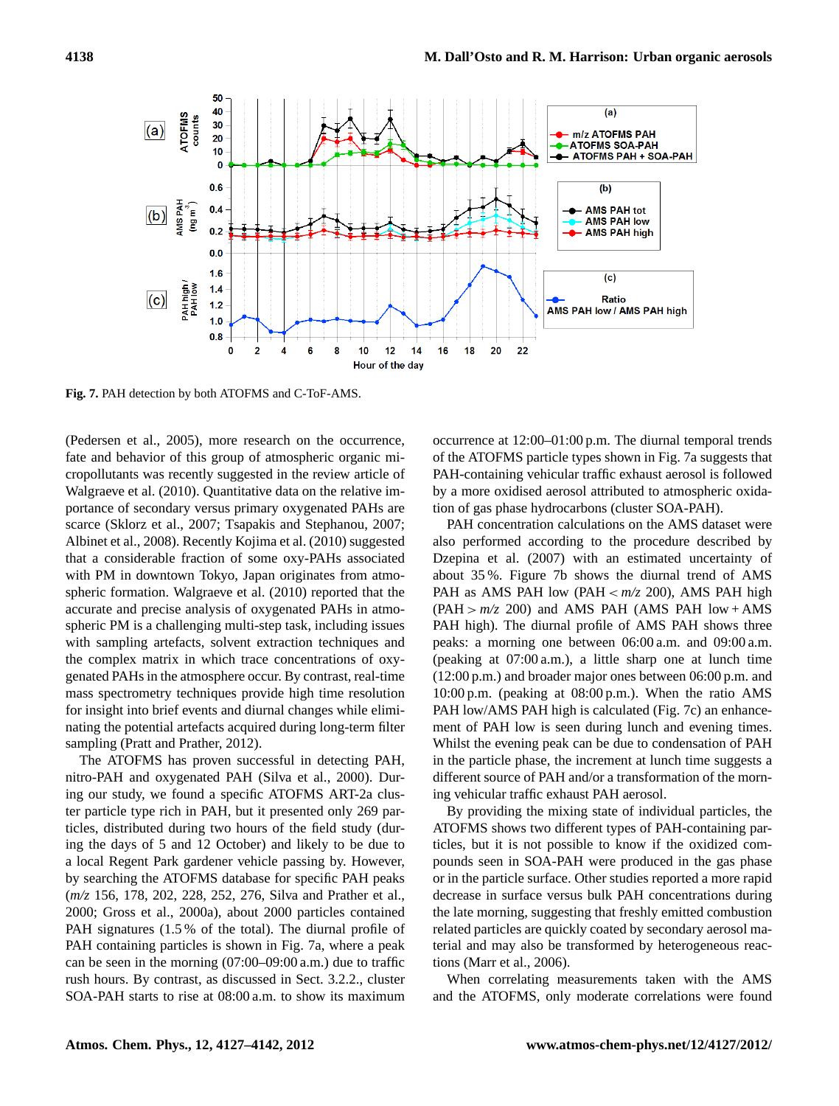

**Fig. 7.** PAH detection by both ATOFMS and C-ToF-AMS.

(Pedersen et al., 2005), more research on the occurrence, fate and behavior of this group of atmospheric organic micropollutants was recently suggested in the review article of Walgraeve et al. (2010). Quantitative data on the relative importance of secondary versus primary oxygenated PAHs are scarce (Sklorz et al., 2007; Tsapakis and Stephanou, 2007; Albinet et al., 2008). Recently Kojima et al. (2010) suggested that a considerable fraction of some oxy-PAHs associated with PM in downtown Tokyo, Japan originates from atmospheric formation. Walgraeve et al. (2010) reported that the accurate and precise analysis of oxygenated PAHs in atmospheric PM is a challenging multi-step task, including issues with sampling artefacts, solvent extraction techniques and the complex matrix in which trace concentrations of oxygenated PAHs in the atmosphere occur. By contrast, real-time mass spectrometry techniques provide high time resolution for insight into brief events and diurnal changes while eliminating the potential artefacts acquired during long-term filter sampling (Pratt and Prather, 2012).

The ATOFMS has proven successful in detecting PAH, nitro-PAH and oxygenated PAH (Silva et al., 2000). During our study, we found a specific ATOFMS ART-2a cluster particle type rich in PAH, but it presented only 269 particles, distributed during two hours of the field study (during the days of 5 and 12 October) and likely to be due to a local Regent Park gardener vehicle passing by. However, by searching the ATOFMS database for specific PAH peaks (*m/z* 156, 178, 202, 228, 252, 276, Silva and Prather et al., 2000; Gross et al., 2000a), about 2000 particles contained PAH signatures (1.5 % of the total). The diurnal profile of PAH containing particles is shown in Fig. 7a, where a peak can be seen in the morning (07:00–09:00 a.m.) due to traffic rush hours. By contrast, as discussed in Sect. 3.2.2., cluster SOA-PAH starts to rise at 08:00 a.m. to show its maximum

occurrence at 12:00–01:00 p.m. The diurnal temporal trends of the ATOFMS particle types shown in Fig. 7a suggests that PAH-containing vehicular traffic exhaust aerosol is followed by a more oxidised aerosol attributed to atmospheric oxidation of gas phase hydrocarbons (cluster SOA-PAH).

PAH concentration calculations on the AMS dataset were also performed according to the procedure described by Dzepina et al. (2007) with an estimated uncertainty of about 35 %. Figure 7b shows the diurnal trend of AMS PAH as AMS PAH low (PAH < *m/z* 200), AMS PAH high  $(PAH > m/z 200)$  and AMS PAH (AMS PAH low + AMS) PAH high). The diurnal profile of AMS PAH shows three peaks: a morning one between 06:00 a.m. and 09:00 a.m. (peaking at 07:00 a.m.), a little sharp one at lunch time (12:00 p.m.) and broader major ones between 06:00 p.m. and 10:00 p.m. (peaking at 08:00 p.m.). When the ratio AMS PAH low/AMS PAH high is calculated (Fig. 7c) an enhancement of PAH low is seen during lunch and evening times. Whilst the evening peak can be due to condensation of PAH in the particle phase, the increment at lunch time suggests a different source of PAH and/or a transformation of the morning vehicular traffic exhaust PAH aerosol.

By providing the mixing state of individual particles, the ATOFMS shows two different types of PAH-containing particles, but it is not possible to know if the oxidized compounds seen in SOA-PAH were produced in the gas phase or in the particle surface. Other studies reported a more rapid decrease in surface versus bulk PAH concentrations during the late morning, suggesting that freshly emitted combustion related particles are quickly coated by secondary aerosol material and may also be transformed by heterogeneous reactions (Marr et al., 2006).

When correlating measurements taken with the AMS and the ATOFMS, only moderate correlations were found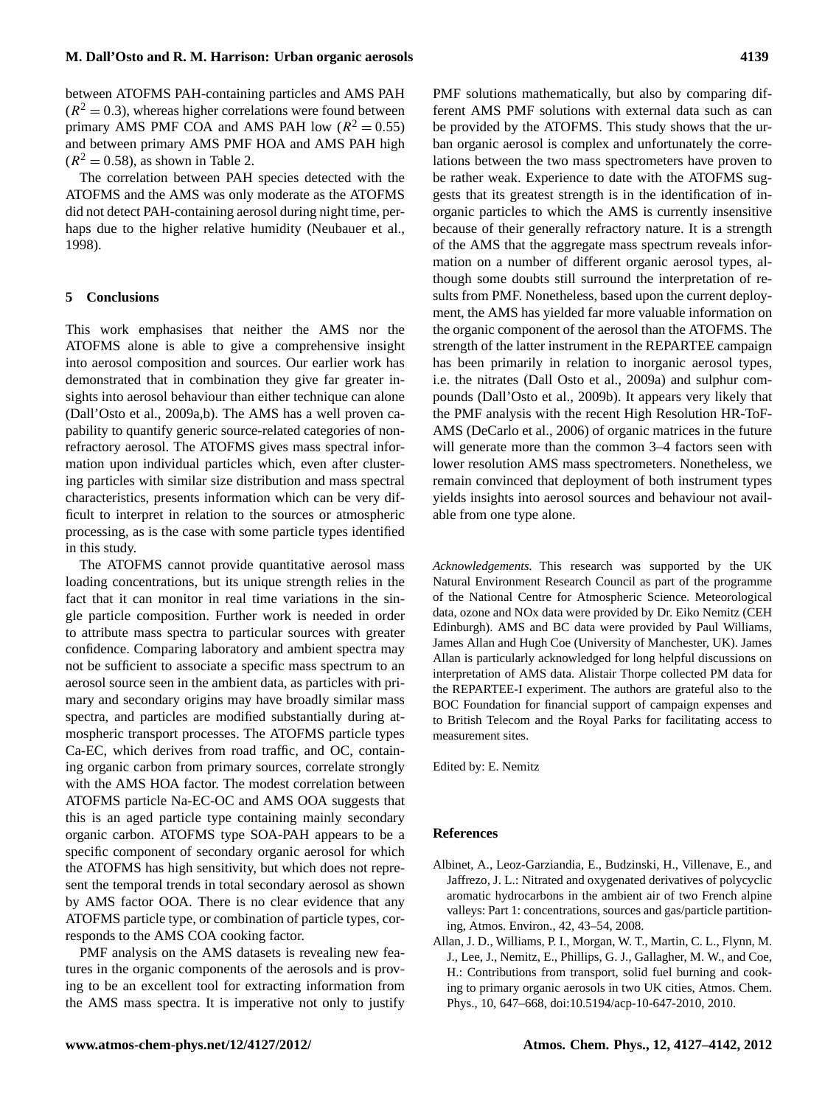between ATOFMS PAH-containing particles and AMS PAH  $(R<sup>2</sup> = 0.3)$ , whereas higher correlations were found between primary AMS PMF COA and AMS PAH low  $(R^2 = 0.55)$ and between primary AMS PMF HOA and AMS PAH high  $(R<sup>2</sup> = 0.58)$ , as shown in Table 2.

The correlation between PAH species detected with the ATOFMS and the AMS was only moderate as the ATOFMS did not detect PAH-containing aerosol during night time, perhaps due to the higher relative humidity (Neubauer et al., 1998).

#### **5 Conclusions**

This work emphasises that neither the AMS nor the ATOFMS alone is able to give a comprehensive insight into aerosol composition and sources. Our earlier work has demonstrated that in combination they give far greater insights into aerosol behaviour than either technique can alone (Dall'Osto et al., 2009a,b). The AMS has a well proven capability to quantify generic source-related categories of nonrefractory aerosol. The ATOFMS gives mass spectral information upon individual particles which, even after clustering particles with similar size distribution and mass spectral characteristics, presents information which can be very difficult to interpret in relation to the sources or atmospheric processing, as is the case with some particle types identified in this study.

The ATOFMS cannot provide quantitative aerosol mass loading concentrations, but its unique strength relies in the fact that it can monitor in real time variations in the single particle composition. Further work is needed in order to attribute mass spectra to particular sources with greater confidence. Comparing laboratory and ambient spectra may not be sufficient to associate a specific mass spectrum to an aerosol source seen in the ambient data, as particles with primary and secondary origins may have broadly similar mass spectra, and particles are modified substantially during atmospheric transport processes. The ATOFMS particle types Ca-EC, which derives from road traffic, and OC, containing organic carbon from primary sources, correlate strongly with the AMS HOA factor. The modest correlation between ATOFMS particle Na-EC-OC and AMS OOA suggests that this is an aged particle type containing mainly secondary organic carbon. ATOFMS type SOA-PAH appears to be a specific component of secondary organic aerosol for which the ATOFMS has high sensitivity, but which does not represent the temporal trends in total secondary aerosol as shown by AMS factor OOA. There is no clear evidence that any ATOFMS particle type, or combination of particle types, corresponds to the AMS COA cooking factor.

PMF analysis on the AMS datasets is revealing new features in the organic components of the aerosols and is proving to be an excellent tool for extracting information from the AMS mass spectra. It is imperative not only to justify PMF solutions mathematically, but also by comparing different AMS PMF solutions with external data such as can be provided by the ATOFMS. This study shows that the urban organic aerosol is complex and unfortunately the correlations between the two mass spectrometers have proven to be rather weak. Experience to date with the ATOFMS suggests that its greatest strength is in the identification of inorganic particles to which the AMS is currently insensitive because of their generally refractory nature. It is a strength of the AMS that the aggregate mass spectrum reveals information on a number of different organic aerosol types, although some doubts still surround the interpretation of results from PMF. Nonetheless, based upon the current deployment, the AMS has yielded far more valuable information on the organic component of the aerosol than the ATOFMS. The strength of the latter instrument in the REPARTEE campaign has been primarily in relation to inorganic aerosol types, i.e. the nitrates (Dall Osto et al., 2009a) and sulphur compounds (Dall'Osto et al., 2009b). It appears very likely that the PMF analysis with the recent High Resolution HR-ToF-AMS (DeCarlo et al., 2006) of organic matrices in the future will generate more than the common 3–4 factors seen with lower resolution AMS mass spectrometers. Nonetheless, we remain convinced that deployment of both instrument types yields insights into aerosol sources and behaviour not available from one type alone.

*Acknowledgements.* This research was supported by the UK Natural Environment Research Council as part of the programme of the National Centre for Atmospheric Science. Meteorological data, ozone and NOx data were provided by Dr. Eiko Nemitz (CEH Edinburgh). AMS and BC data were provided by Paul Williams, James Allan and Hugh Coe (University of Manchester, UK). James Allan is particularly acknowledged for long helpful discussions on interpretation of AMS data. Alistair Thorpe collected PM data for the REPARTEE-I experiment. The authors are grateful also to the BOC Foundation for financial support of campaign expenses and to British Telecom and the Royal Parks for facilitating access to measurement sites.

Edited by: E. Nemitz

#### **References**

- Albinet, A., Leoz-Garziandia, E., Budzinski, H., Villenave, E., and Jaffrezo, J. L.: Nitrated and oxygenated derivatives of polycyclic aromatic hydrocarbons in the ambient air of two French alpine valleys: Part 1: concentrations, sources and gas/particle partitioning, Atmos. Environ., 42, 43–54, 2008.
- Allan, J. D., Williams, P. I., Morgan, W. T., Martin, C. L., Flynn, M. J., Lee, J., Nemitz, E., Phillips, G. J., Gallagher, M. W., and Coe, H.: Contributions from transport, solid fuel burning and cooking to primary organic aerosols in two UK cities, Atmos. Chem. Phys., 10, 647–668, [doi:10.5194/acp-10-647-2010,](http://dx.doi.org/10.5194/acp-10-647-2010) 2010.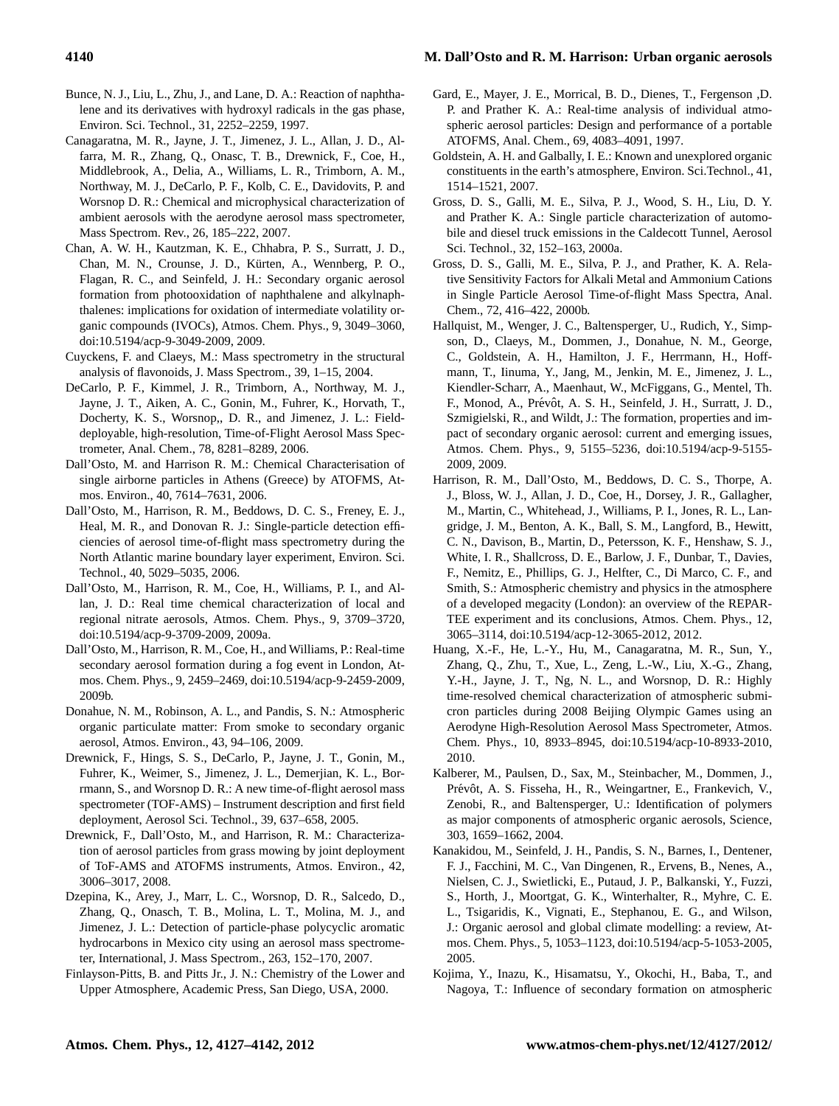- Bunce, N. J., Liu, L., Zhu, J., and Lane, D. A.: Reaction of naphthalene and its derivatives with hydroxyl radicals in the gas phase, Environ. Sci. Technol., 31, 2252–2259, 1997.
- Canagaratna, M. R., Jayne, J. T., Jimenez, J. L., Allan, J. D., Alfarra, M. R., Zhang, Q., Onasc, T. B., Drewnick, F., Coe, H., Middlebrook, A., Delia, A., Williams, L. R., Trimborn, A. M., Northway, M. J., DeCarlo, P. F., Kolb, C. E., Davidovits, P. and Worsnop D. R.: Chemical and microphysical characterization of ambient aerosols with the aerodyne aerosol mass spectrometer, Mass Spectrom. Rev., 26, 185–222, 2007.
- Chan, A. W. H., Kautzman, K. E., Chhabra, P. S., Surratt, J. D., Chan, M. N., Crounse, J. D., Kürten, A., Wennberg, P. O., Flagan, R. C., and Seinfeld, J. H.: Secondary organic aerosol formation from photooxidation of naphthalene and alkylnaphthalenes: implications for oxidation of intermediate volatility organic compounds (IVOCs), Atmos. Chem. Phys., 9, 3049–3060, [doi:10.5194/acp-9-3049-2009,](http://dx.doi.org/10.5194/acp-9-3049-2009) 2009.
- Cuyckens, F. and Claeys, M.: Mass spectrometry in the structural analysis of flavonoids, J. Mass Spectrom., 39, 1–15, 2004.
- DeCarlo, P. F., Kimmel, J. R., Trimborn, A., Northway, M. J., Jayne, J. T., Aiken, A. C., Gonin, M., Fuhrer, K., Horvath, T., Docherty, K. S., Worsnop,, D. R., and Jimenez, J. L.: Fielddeployable, high-resolution, Time-of-Flight Aerosol Mass Spectrometer, Anal. Chem., 78, 8281–8289, 2006.
- Dall'Osto, M. and Harrison R. M.: Chemical Characterisation of single airborne particles in Athens (Greece) by ATOFMS, Atmos. Environ., 40, 7614–7631, 2006.
- Dall'Osto, M., Harrison, R. M., Beddows, D. C. S., Freney, E. J., Heal, M. R., and Donovan R. J.: Single-particle detection efficiencies of aerosol time-of-flight mass spectrometry during the North Atlantic marine boundary layer experiment, Environ. Sci. Technol., 40, 5029–5035, 2006.
- Dall'Osto, M., Harrison, R. M., Coe, H., Williams, P. I., and Allan, J. D.: Real time chemical characterization of local and regional nitrate aerosols, Atmos. Chem. Phys., 9, 3709–3720, [doi:10.5194/acp-9-3709-2009,](http://dx.doi.org/10.5194/acp-9-3709-2009) 2009a.
- Dall'Osto, M., Harrison, R. M., Coe, H., and Williams, P.: Real-time secondary aerosol formation during a fog event in London, Atmos. Chem. Phys., 9, 2459–2469, [doi:10.5194/acp-9-2459-2009,](http://dx.doi.org/10.5194/acp-9-2459-2009) 2009b.
- Donahue, N. M., Robinson, A. L., and Pandis, S. N.: Atmospheric organic particulate matter: From smoke to secondary organic aerosol, Atmos. Environ., 43, 94–106, 2009.
- Drewnick, F., Hings, S. S., DeCarlo, P., Jayne, J. T., Gonin, M., Fuhrer, K., Weimer, S., Jimenez, J. L., Demerjian, K. L., Borrmann, S., and Worsnop D. R.: A new time-of-flight aerosol mass spectrometer (TOF-AMS) – Instrument description and first field deployment, Aerosol Sci. Technol., 39, 637–658, 2005.
- Drewnick, F., Dall'Osto, M., and Harrison, R. M.: Characterization of aerosol particles from grass mowing by joint deployment of ToF-AMS and ATOFMS instruments, Atmos. Environ., 42, 3006–3017, 2008.
- Dzepina, K., Arey, J., Marr, L. C., Worsnop, D. R., Salcedo, D., Zhang, Q., Onasch, T. B., Molina, L. T., Molina, M. J., and Jimenez, J. L.: Detection of particle-phase polycyclic aromatic hydrocarbons in Mexico city using an aerosol mass spectrometer, International, J. Mass Spectrom., 263, 152–170, 2007.
- Finlayson-Pitts, B. and Pitts Jr., J. N.: Chemistry of the Lower and Upper Atmosphere, Academic Press, San Diego, USA, 2000.
- Gard, E., Mayer, J. E., Morrical, B. D., Dienes, T., Fergenson ,D. P. and Prather K. A.: Real-time analysis of individual atmospheric aerosol particles: Design and performance of a portable ATOFMS, Anal. Chem., 69, 4083–4091, 1997.
- Goldstein, A. H. and Galbally, I. E.: Known and unexplored organic constituents in the earth's atmosphere, Environ. Sci.Technol., 41, 1514–1521, 2007.
- Gross, D. S., Galli, M. E., Silva, P. J., Wood, S. H., Liu, D. Y. and Prather K. A.: Single particle characterization of automobile and diesel truck emissions in the Caldecott Tunnel, Aerosol Sci. Technol., 32, 152–163, 2000a.
- Gross, D. S., Galli, M. E., Silva, P. J., and Prather, K. A. Relative Sensitivity Factors for Alkali Metal and Ammonium Cations in Single Particle Aerosol Time-of-flight Mass Spectra, Anal. Chem., 72, 416–422, 2000b.
- Hallquist, M., Wenger, J. C., Baltensperger, U., Rudich, Y., Simpson, D., Claeys, M., Dommen, J., Donahue, N. M., George, C., Goldstein, A. H., Hamilton, J. F., Herrmann, H., Hoffmann, T., Iinuma, Y., Jang, M., Jenkin, M. E., Jimenez, J. L., Kiendler-Scharr, A., Maenhaut, W., McFiggans, G., Mentel, Th. F., Monod, A., Prévôt, A. S. H., Seinfeld, J. H., Surratt, J. D., Szmigielski, R., and Wildt, J.: The formation, properties and impact of secondary organic aerosol: current and emerging issues, Atmos. Chem. Phys., 9, 5155–5236, [doi:10.5194/acp-9-5155-](http://dx.doi.org/10.5194/acp-9-5155-2009) [2009,](http://dx.doi.org/10.5194/acp-9-5155-2009) 2009.
- Harrison, R. M., Dall'Osto, M., Beddows, D. C. S., Thorpe, A. J., Bloss, W. J., Allan, J. D., Coe, H., Dorsey, J. R., Gallagher, M., Martin, C., Whitehead, J., Williams, P. I., Jones, R. L., Langridge, J. M., Benton, A. K., Ball, S. M., Langford, B., Hewitt, C. N., Davison, B., Martin, D., Petersson, K. F., Henshaw, S. J., White, I. R., Shallcross, D. E., Barlow, J. F., Dunbar, T., Davies, F., Nemitz, E., Phillips, G. J., Helfter, C., Di Marco, C. F., and Smith, S.: Atmospheric chemistry and physics in the atmosphere of a developed megacity (London): an overview of the REPAR-TEE experiment and its conclusions, Atmos. Chem. Phys., 12, 3065–3114, [doi:10.5194/acp-12-3065-2012,](http://dx.doi.org/10.5194/acp-12-3065-2012) 2012.
- Huang, X.-F., He, L.-Y., Hu, M., Canagaratna, M. R., Sun, Y., Zhang, Q., Zhu, T., Xue, L., Zeng, L.-W., Liu, X.-G., Zhang, Y.-H., Jayne, J. T., Ng, N. L., and Worsnop, D. R.: Highly time-resolved chemical characterization of atmospheric submicron particles during 2008 Beijing Olympic Games using an Aerodyne High-Resolution Aerosol Mass Spectrometer, Atmos. Chem. Phys., 10, 8933–8945, [doi:10.5194/acp-10-8933-2010,](http://dx.doi.org/10.5194/acp-10-8933-2010) 2010.
- Kalberer, M., Paulsen, D., Sax, M., Steinbacher, M., Dommen, J., Prévôt, A. S. Fisseha, H., R., Weingartner, E., Frankevich, V., Zenobi, R., and Baltensperger, U.: Identification of polymers as major components of atmospheric organic aerosols, Science, 303, 1659–1662, 2004.
- Kanakidou, M., Seinfeld, J. H., Pandis, S. N., Barnes, I., Dentener, F. J., Facchini, M. C., Van Dingenen, R., Ervens, B., Nenes, A., Nielsen, C. J., Swietlicki, E., Putaud, J. P., Balkanski, Y., Fuzzi, S., Horth, J., Moortgat, G. K., Winterhalter, R., Myhre, C. E. L., Tsigaridis, K., Vignati, E., Stephanou, E. G., and Wilson, J.: Organic aerosol and global climate modelling: a review, Atmos. Chem. Phys., 5, 1053–1123, [doi:10.5194/acp-5-1053-2005,](http://dx.doi.org/10.5194/acp-5-1053-2005) 2005.
- Kojima, Y., Inazu, K., Hisamatsu, Y., Okochi, H., Baba, T., and Nagoya, T.: Influence of secondary formation on atmospheric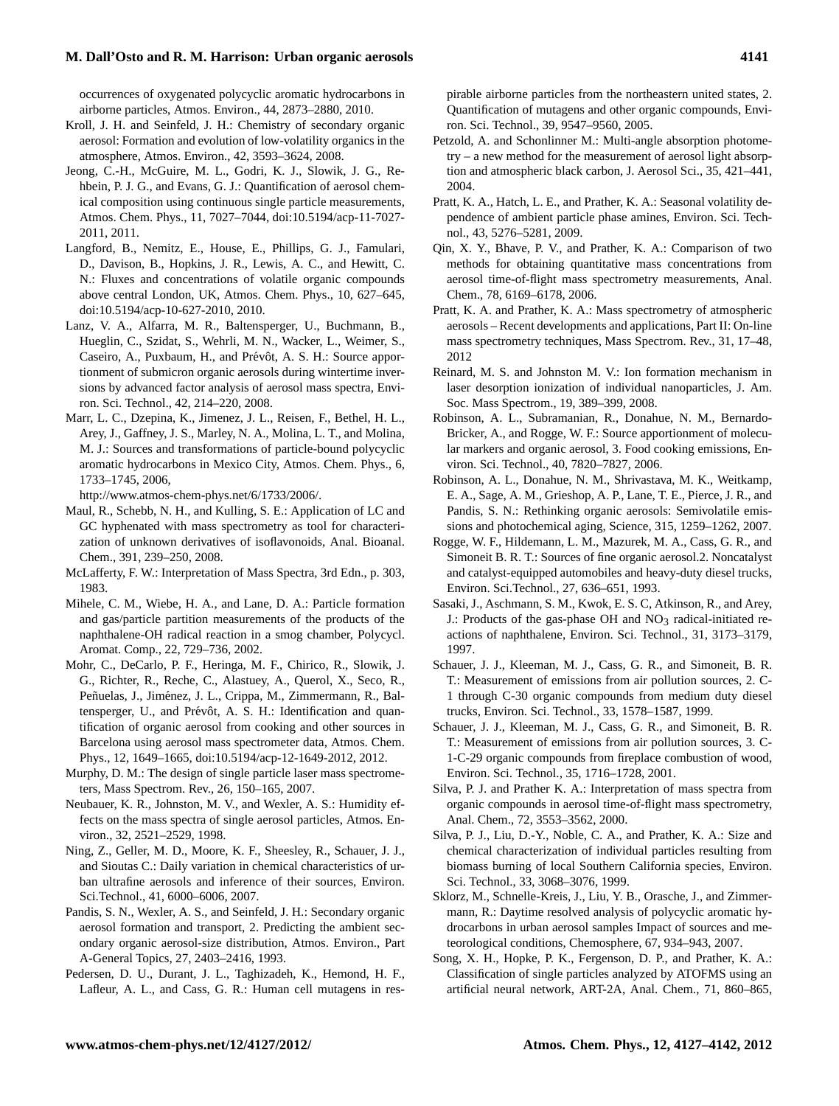occurrences of oxygenated polycyclic aromatic hydrocarbons in airborne particles, Atmos. Environ., 44, 2873–2880, 2010.

- Kroll, J. H. and Seinfeld, J. H.: Chemistry of secondary organic aerosol: Formation and evolution of low-volatility organics in the atmosphere, Atmos. Environ., 42, 3593–3624, 2008.
- Jeong, C.-H., McGuire, M. L., Godri, K. J., Slowik, J. G., Rehbein, P. J. G., and Evans, G. J.: Quantification of aerosol chemical composition using continuous single particle measurements, Atmos. Chem. Phys., 11, 7027–7044, [doi:10.5194/acp-11-7027-](http://dx.doi.org/10.5194/acp-11-7027-2011) [2011,](http://dx.doi.org/10.5194/acp-11-7027-2011) 2011.
- Langford, B., Nemitz, E., House, E., Phillips, G. J., Famulari, D., Davison, B., Hopkins, J. R., Lewis, A. C., and Hewitt, C. N.: Fluxes and concentrations of volatile organic compounds above central London, UK, Atmos. Chem. Phys., 10, 627–645, [doi:10.5194/acp-10-627-2010,](http://dx.doi.org/10.5194/acp-10-627-2010) 2010.
- Lanz, V. A., Alfarra, M. R., Baltensperger, U., Buchmann, B., Hueglin, C., Szidat, S., Wehrli, M. N., Wacker, L., Weimer, S., Caseiro, A., Puxbaum, H., and Prévôt, A. S. H.: Source apportionment of submicron organic aerosols during wintertime inversions by advanced factor analysis of aerosol mass spectra, Environ. Sci. Technol., 42, 214–220, 2008.
- Marr, L. C., Dzepina, K., Jimenez, J. L., Reisen, F., Bethel, H. L., Arey, J., Gaffney, J. S., Marley, N. A., Molina, L. T., and Molina, M. J.: Sources and transformations of particle-bound polycyclic aromatic hydrocarbons in Mexico City, Atmos. Chem. Phys., 6, 1733–1745, 2006,

[http://www.atmos-chem-phys.net/6/1733/2006/.](http://www.atmos-chem-phys.net/6/1733/2006/)

- Maul, R., Schebb, N. H., and Kulling, S. E.: Application of LC and GC hyphenated with mass spectrometry as tool for characterization of unknown derivatives of isoflavonoids, Anal. Bioanal. Chem., 391, 239–250, 2008.
- McLafferty, F. W.: Interpretation of Mass Spectra, 3rd Edn., p. 303, 1983.
- Mihele, C. M., Wiebe, H. A., and Lane, D. A.: Particle formation and gas/particle partition measurements of the products of the naphthalene-OH radical reaction in a smog chamber, Polycycl. Aromat. Comp., 22, 729–736, 2002.
- Mohr, C., DeCarlo, P. F., Heringa, M. F., Chirico, R., Slowik, J. G., Richter, R., Reche, C., Alastuey, A., Querol, X., Seco, R., Peñuelas, J., Jiménez, J. L., Crippa, M., Zimmermann, R., Baltensperger, U., and Prévôt, A. S. H.: Identification and quantification of organic aerosol from cooking and other sources in Barcelona using aerosol mass spectrometer data, Atmos. Chem. Phys., 12, 1649–1665, [doi:10.5194/acp-12-1649-2012,](http://dx.doi.org/10.5194/acp-12-1649-2012) 2012.
- Murphy, D. M.: The design of single particle laser mass spectrometers, Mass Spectrom. Rev., 26, 150–165, 2007.
- Neubauer, K. R., Johnston, M. V., and Wexler, A. S.: Humidity effects on the mass spectra of single aerosol particles, Atmos. Environ., 32, 2521–2529, 1998.
- Ning, Z., Geller, M. D., Moore, K. F., Sheesley, R., Schauer, J. J., and Sioutas C.: Daily variation in chemical characteristics of urban ultrafine aerosols and inference of their sources, Environ. Sci.Technol., 41, 6000–6006, 2007.
- Pandis, S. N., Wexler, A. S., and Seinfeld, J. H.: Secondary organic aerosol formation and transport, 2. Predicting the ambient secondary organic aerosol-size distribution, Atmos. Environ., Part A-General Topics, 27, 2403–2416, 1993.
- Pedersen, D. U., Durant, J. L., Taghizadeh, K., Hemond, H. F., Lafleur, A. L., and Cass, G. R.: Human cell mutagens in res-

pirable airborne particles from the northeastern united states, 2. Quantification of mutagens and other organic compounds, Environ. Sci. Technol., 39, 9547–9560, 2005.

- Petzold, A. and Schonlinner M.: Multi-angle absorption photometry – a new method for the measurement of aerosol light absorption and atmospheric black carbon, J. Aerosol Sci., 35, 421–441, 2004.
- Pratt, K. A., Hatch, L. E., and Prather, K. A.: Seasonal volatility dependence of ambient particle phase amines, Environ. Sci. Technol., 43, 5276–5281, 2009.
- Qin, X. Y., Bhave, P. V., and Prather, K. A.: Comparison of two methods for obtaining quantitative mass concentrations from aerosol time-of-flight mass spectrometry measurements, Anal. Chem., 78, 6169–6178, 2006.
- Pratt, K. A. and Prather, K. A.: Mass spectrometry of atmospheric aerosols – Recent developments and applications, Part II: On-line mass spectrometry techniques, Mass Spectrom. Rev., 31, 17–48, 2012
- Reinard, M. S. and Johnston M. V.: Ion formation mechanism in laser desorption ionization of individual nanoparticles, J. Am. Soc. Mass Spectrom., 19, 389–399, 2008.
- Robinson, A. L., Subramanian, R., Donahue, N. M., Bernardo-Bricker, A., and Rogge, W. F.: Source apportionment of molecular markers and organic aerosol, 3. Food cooking emissions, Environ. Sci. Technol., 40, 7820–7827, 2006.
- Robinson, A. L., Donahue, N. M., Shrivastava, M. K., Weitkamp, E. A., Sage, A. M., Grieshop, A. P., Lane, T. E., Pierce, J. R., and Pandis, S. N.: Rethinking organic aerosols: Semivolatile emissions and photochemical aging, Science, 315, 1259–1262, 2007.
- Rogge, W. F., Hildemann, L. M., Mazurek, M. A., Cass, G. R., and Simoneit B. R. T.: Sources of fine organic aerosol.2. Noncatalyst and catalyst-equipped automobiles and heavy-duty diesel trucks, Environ. Sci.Technol., 27, 636–651, 1993.
- Sasaki, J., Aschmann, S. M., Kwok, E. S. C, Atkinson, R., and Arey, J.: Products of the gas-phase OH and  $NO<sub>3</sub>$  radical-initiated reactions of naphthalene, Environ. Sci. Technol., 31, 3173–3179, 1997.
- Schauer, J. J., Kleeman, M. J., Cass, G. R., and Simoneit, B. R. T.: Measurement of emissions from air pollution sources, 2. C-1 through C-30 organic compounds from medium duty diesel trucks, Environ. Sci. Technol., 33, 1578–1587, 1999.
- Schauer, J. J., Kleeman, M. J., Cass, G. R., and Simoneit, B. R. T.: Measurement of emissions from air pollution sources, 3. C-1-C-29 organic compounds from fireplace combustion of wood, Environ. Sci. Technol., 35, 1716–1728, 2001.
- Silva, P. J. and Prather K. A.: Interpretation of mass spectra from organic compounds in aerosol time-of-flight mass spectrometry, Anal. Chem., 72, 3553–3562, 2000.
- Silva, P. J., Liu, D.-Y., Noble, C. A., and Prather, K. A.: Size and chemical characterization of individual particles resulting from biomass burning of local Southern California species, Environ. Sci. Technol., 33, 3068–3076, 1999.
- Sklorz, M., Schnelle-Kreis, J., Liu, Y. B., Orasche, J., and Zimmermann, R.: Daytime resolved analysis of polycyclic aromatic hydrocarbons in urban aerosol samples Impact of sources and meteorological conditions, Chemosphere, 67, 934–943, 2007.
- Song, X. H., Hopke, P. K., Fergenson, D. P., and Prather, K. A.: Classification of single particles analyzed by ATOFMS using an artificial neural network, ART-2A, Anal. Chem., 71, 860–865,